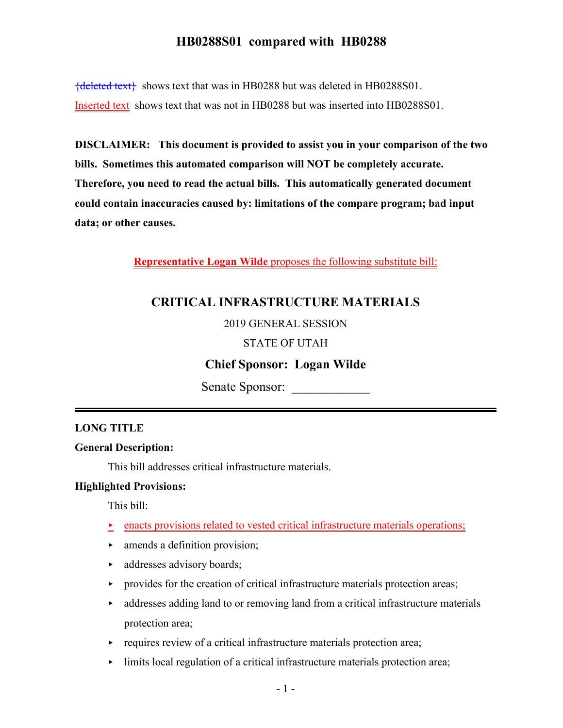${deleted text}$  shows text that was in HB0288 but was deleted in HB0288S01. Inserted text shows text that was not in HB0288 but was inserted into HB0288S01.

**DISCLAIMER: This document is provided to assist you in your comparison of the two bills. Sometimes this automated comparison will NOT be completely accurate. Therefore, you need to read the actual bills. This automatically generated document could contain inaccuracies caused by: limitations of the compare program; bad input data; or other causes.**

**Representative Logan Wilde** proposes the following substitute bill:

## **CRITICAL INFRASTRUCTURE MATERIALS**

2019 GENERAL SESSION

### STATE OF UTAH

## **Chief Sponsor: Logan Wilde**

Senate Sponsor:

### **LONG TITLE**

#### **General Description:**

This bill addresses critical infrastructure materials.

#### **Highlighted Provisions:**

This bill:

- < enacts provisions related to vested critical infrastructure materials operations;
- $\blacktriangleright$  amends a definition provision;
- addresses advisory boards;
- $\triangleright$  provides for the creation of critical infrastructure materials protection areas;
- $\rightarrow$  addresses adding land to or removing land from a critical infrastructure materials protection area;
- $\rightarrow$  requires review of a critical infrastructure materials protection area;
- limits local regulation of a critical infrastructure materials protection area;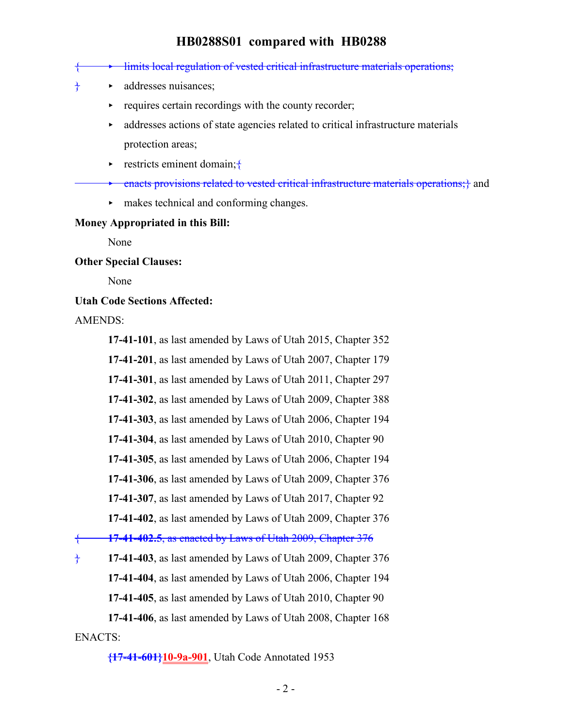|                                  |                       | limits local regulation of vested critical infrastructure materials operations;        |
|----------------------------------|-----------------------|----------------------------------------------------------------------------------------|
|                                  | $\blacktriangleright$ | addresses nuisances;                                                                   |
|                                  | ▶                     | requires certain recordings with the county recorder;                                  |
|                                  | $\blacktriangleright$ | addresses actions of state agencies related to critical infrastructure materials       |
|                                  |                       | protection areas;                                                                      |
|                                  |                       | restricts eminent domain; $\uparrow$                                                   |
|                                  |                       | enacts provisions related to vested critical infrastructure materials operations;} and |
|                                  | ▶.                    | makes technical and conforming changes.                                                |
| Money Appropriated in this Bill: |                       |                                                                                        |

None

#### **Other Special Clauses:**

None

#### **Utah Code Sections Affected:**

#### AMENDS:

**17-41-101**, as last amended by Laws of Utah 2015, Chapter 352

**17-41-201**, as last amended by Laws of Utah 2007, Chapter 179

**17-41-301**, as last amended by Laws of Utah 2011, Chapter 297

**17-41-302**, as last amended by Laws of Utah 2009, Chapter 388

**17-41-303**, as last amended by Laws of Utah 2006, Chapter 194

**17-41-304**, as last amended by Laws of Utah 2010, Chapter 90

**17-41-305**, as last amended by Laws of Utah 2006, Chapter 194

**17-41-306**, as last amended by Laws of Utah 2009, Chapter 376

**17-41-307**, as last amended by Laws of Utah 2017, Chapter 92

**17-41-402**, as last amended by Laws of Utah 2009, Chapter 376

{ **17-41-402.5**, as enacted by Laws of Utah 2009, Chapter 376

} **17-41-403**, as last amended by Laws of Utah 2009, Chapter 376 **17-41-404**, as last amended by Laws of Utah 2006, Chapter 194 **17-41-405**, as last amended by Laws of Utah 2010, Chapter 90 **17-41-406**, as last amended by Laws of Utah 2008, Chapter 168

ENACTS:

**{17-41-601}10-9a-901**, Utah Code Annotated 1953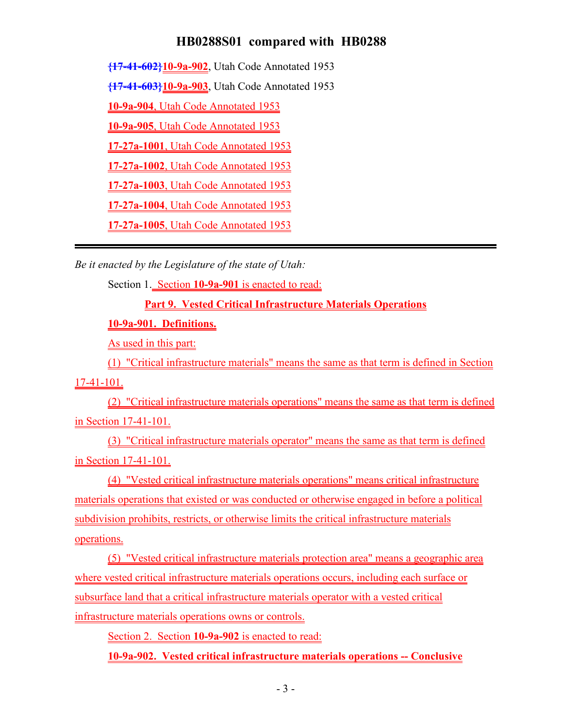**{17-41-602}10-9a-902**, Utah Code Annotated 1953

**{17-41-603}10-9a-903**, Utah Code Annotated 1953

**10-9a-904**, Utah Code Annotated 1953

**10-9a-905**, Utah Code Annotated 1953

**17-27a-1001**, Utah Code Annotated 1953

**17-27a-1002**, Utah Code Annotated 1953

**17-27a-1003**, Utah Code Annotated 1953

**17-27a-1004**, Utah Code Annotated 1953

**17-27a-1005**, Utah Code Annotated 1953

*Be it enacted by the Legislature of the state of Utah:*

Section 1. Section **10-9a-901** is enacted to read:

**Part 9. Vested Critical Infrastructure Materials Operations**

**10-9a-901. Definitions.**

As used in this part:

(1) "Critical infrastructure materials" means the same as that term is defined in Section 17-41-101.

(2) "Critical infrastructure materials operations" means the same as that term is defined in Section 17-41-101.

(3) "Critical infrastructure materials operator" means the same as that term is defined in Section 17-41-101.

(4) "Vested critical infrastructure materials operations" means critical infrastructure materials operations that existed or was conducted or otherwise engaged in before a political subdivision prohibits, restricts, or otherwise limits the critical infrastructure materials operations.

(5) "Vested critical infrastructure materials protection area" means a geographic area where vested critical infrastructure materials operations occurs, including each surface or subsurface land that a critical infrastructure materials operator with a vested critical infrastructure materials operations owns or controls.

Section 2. Section **10-9a-902** is enacted to read:

**10-9a-902. Vested critical infrastructure materials operations -- Conclusive**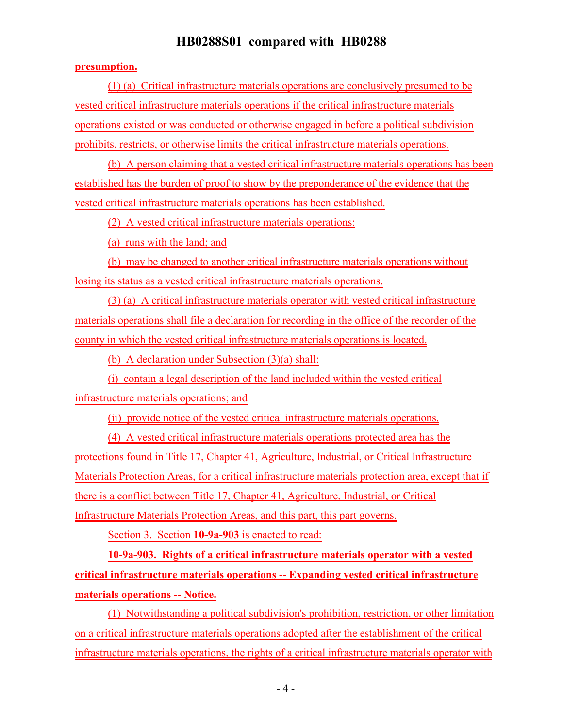#### **presumption.**

(1) (a) Critical infrastructure materials operations are conclusively presumed to be vested critical infrastructure materials operations if the critical infrastructure materials operations existed or was conducted or otherwise engaged in before a political subdivision prohibits, restricts, or otherwise limits the critical infrastructure materials operations.

(b) A person claiming that a vested critical infrastructure materials operations has been established has the burden of proof to show by the preponderance of the evidence that the vested critical infrastructure materials operations has been established.

(2) A vested critical infrastructure materials operations:

(a) runs with the land; and

(b) may be changed to another critical infrastructure materials operations without losing its status as a vested critical infrastructure materials operations.

(3) (a) A critical infrastructure materials operator with vested critical infrastructure materials operations shall file a declaration for recording in the office of the recorder of the county in which the vested critical infrastructure materials operations is located.

(b) A declaration under Subsection (3)(a) shall:

(i) contain a legal description of the land included within the vested critical infrastructure materials operations; and

(ii) provide notice of the vested critical infrastructure materials operations.

(4) A vested critical infrastructure materials operations protected area has the protections found in Title 17, Chapter 41, Agriculture, Industrial, or Critical Infrastructure Materials Protection Areas, for a critical infrastructure materials protection area, except that if there is a conflict between Title 17, Chapter 41, Agriculture, Industrial, or Critical Infrastructure Materials Protection Areas, and this part, this part governs.

Section 3. Section **10-9a-903** is enacted to read:

**10-9a-903. Rights of a critical infrastructure materials operator with a vested critical infrastructure materials operations -- Expanding vested critical infrastructure materials operations -- Notice.**

(1) Notwithstanding a political subdivision's prohibition, restriction, or other limitation on a critical infrastructure materials operations adopted after the establishment of the critical infrastructure materials operations, the rights of a critical infrastructure materials operator with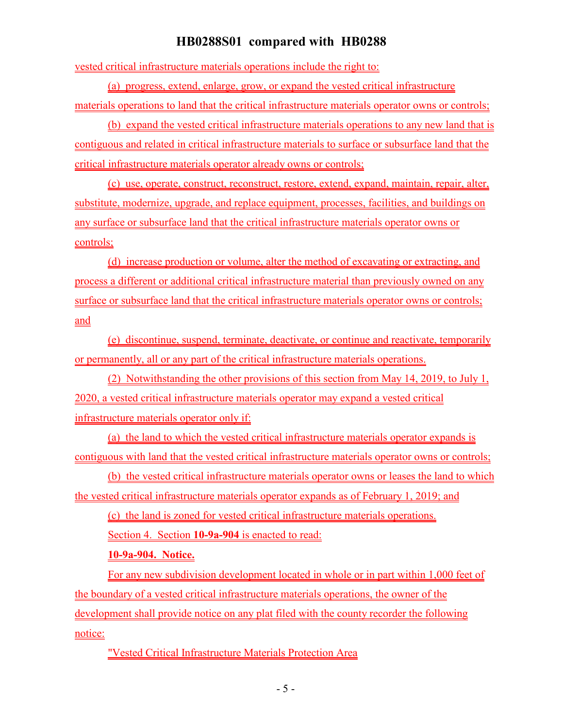vested critical infrastructure materials operations include the right to:

(a) progress, extend, enlarge, grow, or expand the vested critical infrastructure materials operations to land that the critical infrastructure materials operator owns or controls;

(b) expand the vested critical infrastructure materials operations to any new land that is contiguous and related in critical infrastructure materials to surface or subsurface land that the critical infrastructure materials operator already owns or controls;

(c) use, operate, construct, reconstruct, restore, extend, expand, maintain, repair, alter, substitute, modernize, upgrade, and replace equipment, processes, facilities, and buildings on any surface or subsurface land that the critical infrastructure materials operator owns or controls;

(d) increase production or volume, alter the method of excavating or extracting, and process a different or additional critical infrastructure material than previously owned on any surface or subsurface land that the critical infrastructure materials operator owns or controls; and

(e) discontinue, suspend, terminate, deactivate, or continue and reactivate, temporarily or permanently, all or any part of the critical infrastructure materials operations.

(2) Notwithstanding the other provisions of this section from May 14, 2019, to July 1, 2020, a vested critical infrastructure materials operator may expand a vested critical infrastructure materials operator only if:

(a) the land to which the vested critical infrastructure materials operator expands is contiguous with land that the vested critical infrastructure materials operator owns or controls;

(b) the vested critical infrastructure materials operator owns or leases the land to which the vested critical infrastructure materials operator expands as of February 1, 2019; and

(c) the land is zoned for vested critical infrastructure materials operations.

Section 4. Section **10-9a-904** is enacted to read:

#### **10-9a-904. Notice.**

For any new subdivision development located in whole or in part within 1,000 feet of the boundary of a vested critical infrastructure materials operations, the owner of the development shall provide notice on any plat filed with the county recorder the following notice:

"Vested Critical Infrastructure Materials Protection Area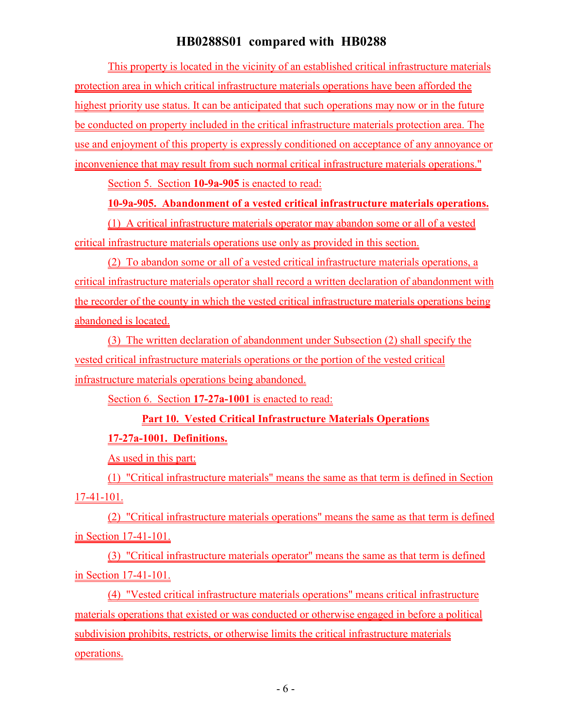This property is located in the vicinity of an established critical infrastructure materials protection area in which critical infrastructure materials operations have been afforded the highest priority use status. It can be anticipated that such operations may now or in the future be conducted on property included in the critical infrastructure materials protection area. The use and enjoyment of this property is expressly conditioned on acceptance of any annoyance or inconvenience that may result from such normal critical infrastructure materials operations."

Section 5. Section **10-9a-905** is enacted to read:

### **10-9a-905. Abandonment of a vested critical infrastructure materials operations.**

(1) A critical infrastructure materials operator may abandon some or all of a vested critical infrastructure materials operations use only as provided in this section.

(2) To abandon some or all of a vested critical infrastructure materials operations, a critical infrastructure materials operator shall record a written declaration of abandonment with the recorder of the county in which the vested critical infrastructure materials operations being abandoned is located.

(3) The written declaration of abandonment under Subsection (2) shall specify the vested critical infrastructure materials operations or the portion of the vested critical infrastructure materials operations being abandoned.

Section 6. Section **17-27a-1001** is enacted to read:

## **Part 10. Vested Critical Infrastructure Materials Operations**

## **17-27a-1001. Definitions.**

As used in this part:

(1) "Critical infrastructure materials" means the same as that term is defined in Section 17-41-101.

(2) "Critical infrastructure materials operations" means the same as that term is defined in Section 17-41-101.

(3) "Critical infrastructure materials operator" means the same as that term is defined in Section 17-41-101.

(4) "Vested critical infrastructure materials operations" means critical infrastructure materials operations that existed or was conducted or otherwise engaged in before a political subdivision prohibits, restricts, or otherwise limits the critical infrastructure materials operations.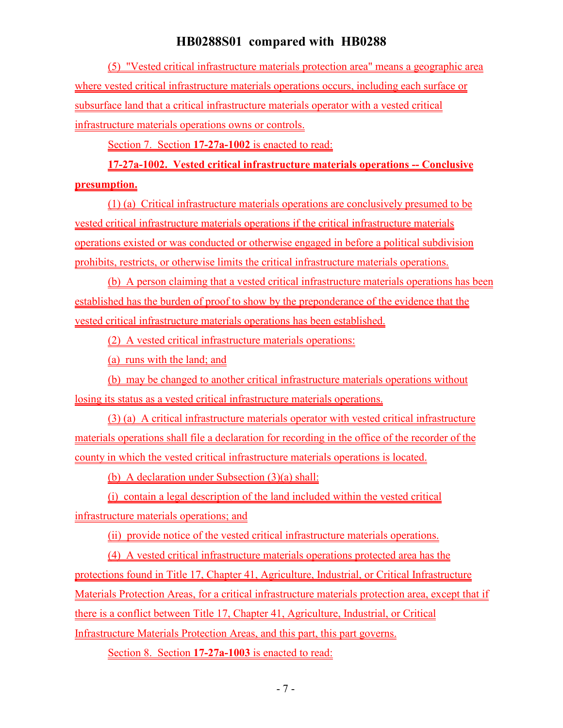(5) "Vested critical infrastructure materials protection area" means a geographic area where vested critical infrastructure materials operations occurs, including each surface or subsurface land that a critical infrastructure materials operator with a vested critical infrastructure materials operations owns or controls.

Section 7. Section **17-27a-1002** is enacted to read:

# **17-27a-1002. Vested critical infrastructure materials operations -- Conclusive presumption.**

(1) (a) Critical infrastructure materials operations are conclusively presumed to be vested critical infrastructure materials operations if the critical infrastructure materials operations existed or was conducted or otherwise engaged in before a political subdivision prohibits, restricts, or otherwise limits the critical infrastructure materials operations.

(b) A person claiming that a vested critical infrastructure materials operations has been established has the burden of proof to show by the preponderance of the evidence that the vested critical infrastructure materials operations has been established.

(2) A vested critical infrastructure materials operations:

(a) runs with the land; and

(b) may be changed to another critical infrastructure materials operations without losing its status as a vested critical infrastructure materials operations.

(3) (a) A critical infrastructure materials operator with vested critical infrastructure materials operations shall file a declaration for recording in the office of the recorder of the county in which the vested critical infrastructure materials operations is located.

(b) A declaration under Subsection (3)(a) shall:

(i) contain a legal description of the land included within the vested critical infrastructure materials operations; and

(ii) provide notice of the vested critical infrastructure materials operations.

(4) A vested critical infrastructure materials operations protected area has the protections found in Title 17, Chapter 41, Agriculture, Industrial, or Critical Infrastructure Materials Protection Areas, for a critical infrastructure materials protection area, except that if there is a conflict between Title 17, Chapter 41, Agriculture, Industrial, or Critical Infrastructure Materials Protection Areas, and this part, this part governs.

Section 8. Section **17-27a-1003** is enacted to read: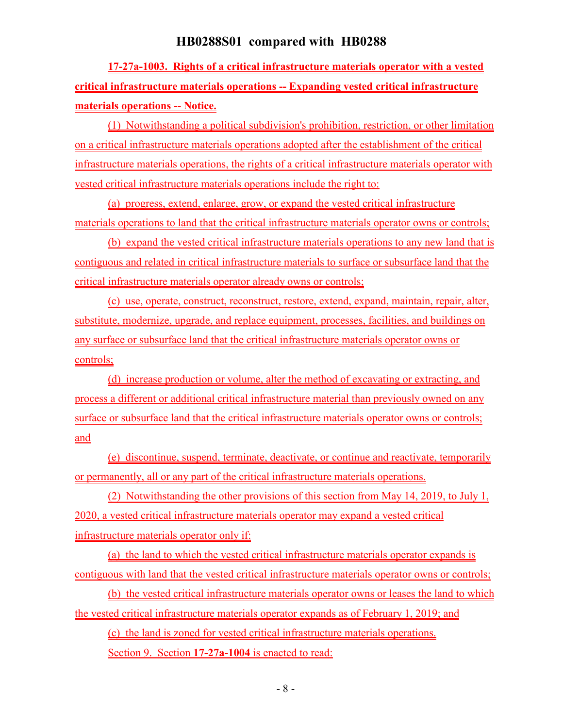**17-27a-1003. Rights of a critical infrastructure materials operator with a vested critical infrastructure materials operations -- Expanding vested critical infrastructure materials operations -- Notice.**

(1) Notwithstanding a political subdivision's prohibition, restriction, or other limitation on a critical infrastructure materials operations adopted after the establishment of the critical infrastructure materials operations, the rights of a critical infrastructure materials operator with vested critical infrastructure materials operations include the right to:

(a) progress, extend, enlarge, grow, or expand the vested critical infrastructure materials operations to land that the critical infrastructure materials operator owns or controls;

(b) expand the vested critical infrastructure materials operations to any new land that is contiguous and related in critical infrastructure materials to surface or subsurface land that the critical infrastructure materials operator already owns or controls;

(c) use, operate, construct, reconstruct, restore, extend, expand, maintain, repair, alter, substitute, modernize, upgrade, and replace equipment, processes, facilities, and buildings on any surface or subsurface land that the critical infrastructure materials operator owns or controls;

(d) increase production or volume, alter the method of excavating or extracting, and process a different or additional critical infrastructure material than previously owned on any surface or subsurface land that the critical infrastructure materials operator owns or controls; and

(e) discontinue, suspend, terminate, deactivate, or continue and reactivate, temporarily or permanently, all or any part of the critical infrastructure materials operations.

(2) Notwithstanding the other provisions of this section from May 14, 2019, to July 1, 2020, a vested critical infrastructure materials operator may expand a vested critical infrastructure materials operator only if:

(a) the land to which the vested critical infrastructure materials operator expands is contiguous with land that the vested critical infrastructure materials operator owns or controls;

(b) the vested critical infrastructure materials operator owns or leases the land to which the vested critical infrastructure materials operator expands as of February 1, 2019; and

(c) the land is zoned for vested critical infrastructure materials operations.

Section 9. Section **17-27a-1004** is enacted to read: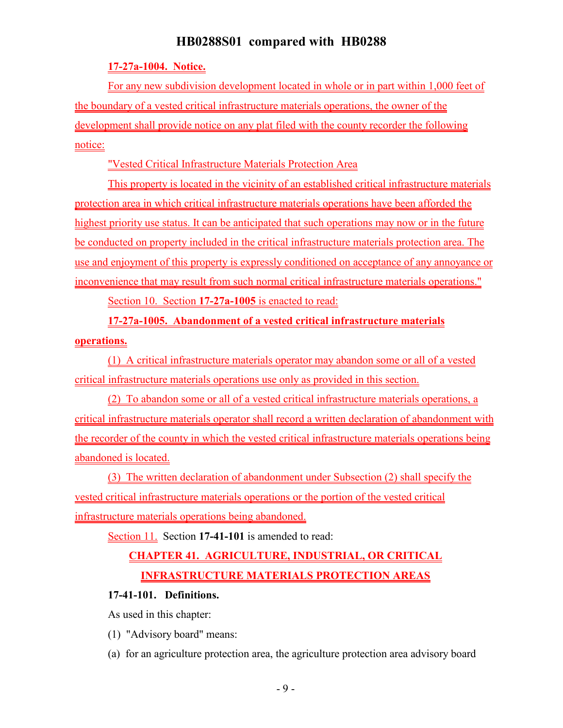### **17-27a-1004. Notice.**

For any new subdivision development located in whole or in part within 1,000 feet of the boundary of a vested critical infrastructure materials operations, the owner of the development shall provide notice on any plat filed with the county recorder the following notice:

"Vested Critical Infrastructure Materials Protection Area

This property is located in the vicinity of an established critical infrastructure materials protection area in which critical infrastructure materials operations have been afforded the highest priority use status. It can be anticipated that such operations may now or in the future be conducted on property included in the critical infrastructure materials protection area. The use and enjoyment of this property is expressly conditioned on acceptance of any annoyance or inconvenience that may result from such normal critical infrastructure materials operations."

Section 10. Section **17-27a-1005** is enacted to read:

**17-27a-1005. Abandonment of a vested critical infrastructure materials**

### **operations.**

(1) A critical infrastructure materials operator may abandon some or all of a vested critical infrastructure materials operations use only as provided in this section.

(2) To abandon some or all of a vested critical infrastructure materials operations, a critical infrastructure materials operator shall record a written declaration of abandonment with the recorder of the county in which the vested critical infrastructure materials operations being abandoned is located.

(3) The written declaration of abandonment under Subsection (2) shall specify the vested critical infrastructure materials operations or the portion of the vested critical infrastructure materials operations being abandoned.

Section 11. Section **17-41-101** is amended to read:

# **CHAPTER 41. AGRICULTURE, INDUSTRIAL, OR CRITICAL INFRASTRUCTURE MATERIALS PROTECTION AREAS**

### **17-41-101. Definitions.**

As used in this chapter:

- (1) "Advisory board" means:
- (a) for an agriculture protection area, the agriculture protection area advisory board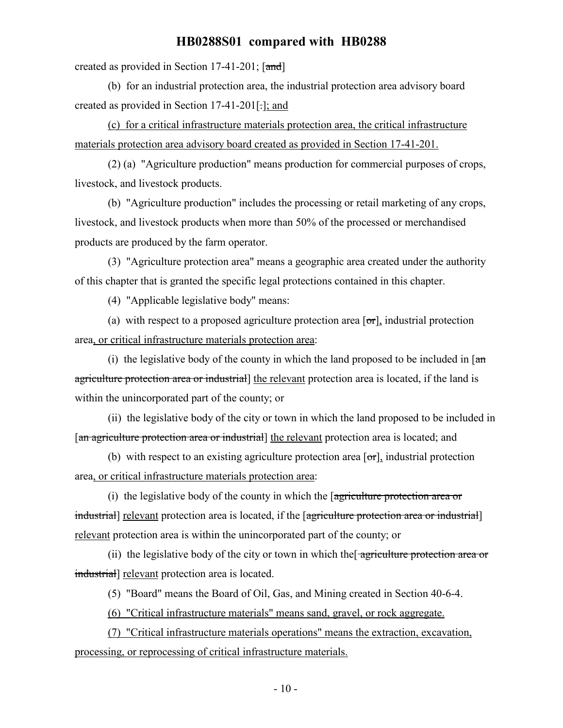created as provided in Section 17-41-201;  $\lceil \text{and} \rceil$ 

(b) for an industrial protection area, the industrial protection area advisory board created as provided in Section 17-41-201[.]; and

(c) for a critical infrastructure materials protection area, the critical infrastructure materials protection area advisory board created as provided in Section 17-41-201.

(2) (a) "Agriculture production" means production for commercial purposes of crops, livestock, and livestock products.

(b) "Agriculture production" includes the processing or retail marketing of any crops, livestock, and livestock products when more than 50% of the processed or merchandised products are produced by the farm operator.

(3) "Agriculture protection area" means a geographic area created under the authority of this chapter that is granted the specific legal protections contained in this chapter.

(4) "Applicable legislative body" means:

(a) with respect to a proposed agriculture protection area  $[\sigma r]_1$  industrial protection area, or critical infrastructure materials protection area:

(i) the legislative body of the county in which the land proposed to be included in  $\lceil \frac{a_n}{n} \rceil$ agriculture protection area or industrial the relevant protection area is located, if the land is within the unincorporated part of the county; or

(ii) the legislative body of the city or town in which the land proposed to be included in [an agriculture protection area or industrial] the relevant protection area is located; and

(b) with respect to an existing agriculture protection area  $[\sigma\tau]$ , industrial protection area, or critical infrastructure materials protection area:

(i) the legislative body of the county in which the [agriculture protection area or industrial] relevant protection area is located, if the [agriculture protection area or industrial] relevant protection area is within the unincorporated part of the county; or

(ii) the legislative body of the city or town in which the agriculture protection area or industrial] relevant protection area is located.

(5) "Board" means the Board of Oil, Gas, and Mining created in Section 40-6-4.

(6) "Critical infrastructure materials" means sand, gravel, or rock aggregate.

(7) "Critical infrastructure materials operations" means the extraction, excavation, processing, or reprocessing of critical infrastructure materials.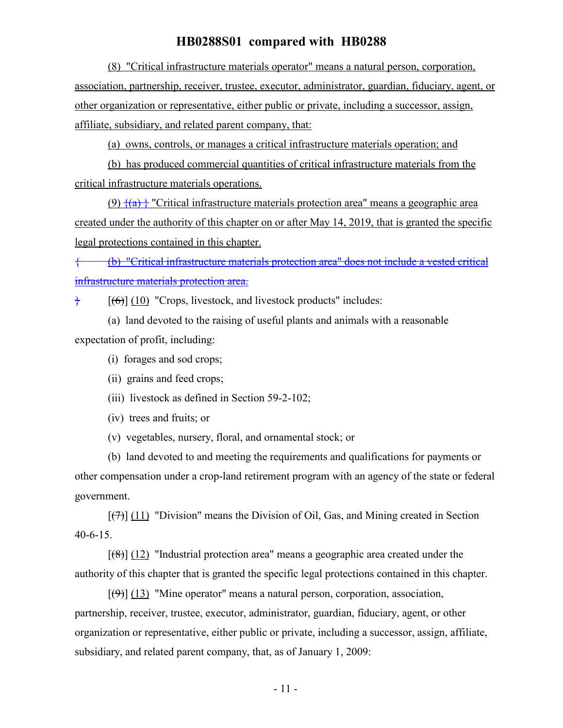(8) "Critical infrastructure materials operator" means a natural person, corporation, association, partnership, receiver, trustee, executor, administrator, guardian, fiduciary, agent, or other organization or representative, either public or private, including a successor, assign, affiliate, subsidiary, and related parent company, that:

(a) owns, controls, or manages a critical infrastructure materials operation; and

(b) has produced commercial quantities of critical infrastructure materials from the critical infrastructure materials operations.

(9)  $\{(9)$   $\{(a)\}\$  "Critical infrastructure materials protection area" means a geographic area created under the authority of this chapter on or after May 14, 2019, that is granted the specific legal protections contained in this chapter.

{ (b) "Critical infrastructure materials protection area" does not include a vested critical infrastructure materials protection area.

 $\frac{1}{6}$  [(6)] (10) "Crops, livestock, and livestock products" includes:

(a) land devoted to the raising of useful plants and animals with a reasonable expectation of profit, including:

- (i) forages and sod crops;
- (ii) grains and feed crops;
- (iii) livestock as defined in Section 59-2-102;
- (iv) trees and fruits; or
- (v) vegetables, nursery, floral, and ornamental stock; or

(b) land devoted to and meeting the requirements and qualifications for payments or other compensation under a crop-land retirement program with an agency of the state or federal government.

 $[(7)]$  (11) "Division" means the Division of Oil, Gas, and Mining created in Section 40-6-15.

 $[(8)]$  (12) "Industrial protection area" means a geographic area created under the authority of this chapter that is granted the specific legal protections contained in this chapter.

 $[\langle 9\rangle]$  (13) "Mine operator" means a natural person, corporation, association, partnership, receiver, trustee, executor, administrator, guardian, fiduciary, agent, or other organization or representative, either public or private, including a successor, assign, affiliate, subsidiary, and related parent company, that, as of January 1, 2009: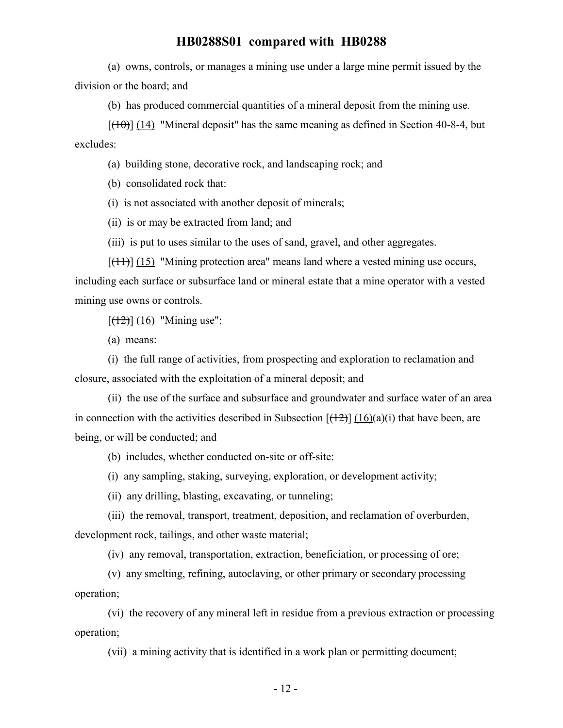(a) owns, controls, or manages a mining use under a large mine permit issued by the division or the board; and

(b) has produced commercial quantities of a mineral deposit from the mining use.

 $[({10})]$  (14) "Mineral deposit" has the same meaning as defined in Section 40-8-4, but excludes:

(a) building stone, decorative rock, and landscaping rock; and

(b) consolidated rock that:

(i) is not associated with another deposit of minerals;

(ii) is or may be extracted from land; and

(iii) is put to uses similar to the uses of sand, gravel, and other aggregates.

 $[\frac{(11)}{(11)}]$  (15) "Mining protection area" means land where a vested mining use occurs, including each surface or subsurface land or mineral estate that a mine operator with a vested mining use owns or controls.

 $[ (12) ] (16)$  "Mining use":

(a) means:

(i) the full range of activities, from prospecting and exploration to reclamation and closure, associated with the exploitation of a mineral deposit; and

(ii) the use of the surface and subsurface and groundwater and surface water of an area in connection with the activities described in Subsection  $[(12)] (16)(a)(i)$  that have been, are being, or will be conducted; and

(b) includes, whether conducted on-site or off-site:

(i) any sampling, staking, surveying, exploration, or development activity;

(ii) any drilling, blasting, excavating, or tunneling;

(iii) the removal, transport, treatment, deposition, and reclamation of overburden, development rock, tailings, and other waste material;

(iv) any removal, transportation, extraction, beneficiation, or processing of ore;

(v) any smelting, refining, autoclaving, or other primary or secondary processing operation;

(vi) the recovery of any mineral left in residue from a previous extraction or processing operation;

(vii) a mining activity that is identified in a work plan or permitting document;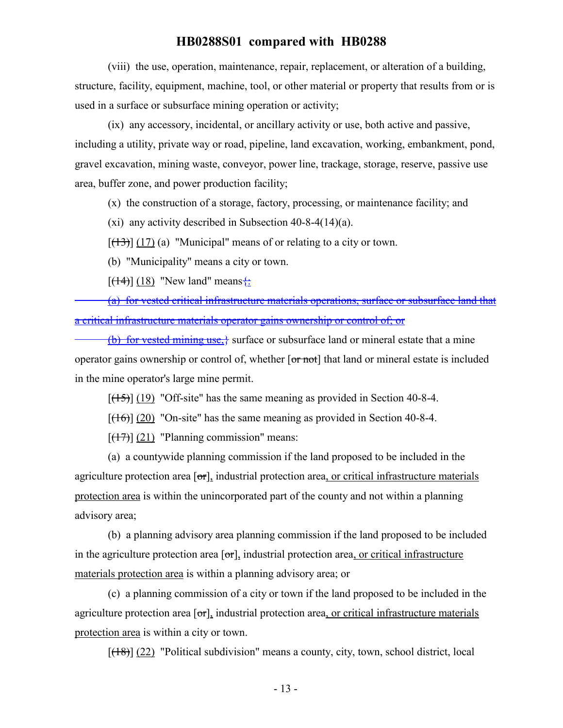(viii) the use, operation, maintenance, repair, replacement, or alteration of a building, structure, facility, equipment, machine, tool, or other material or property that results from or is used in a surface or subsurface mining operation or activity;

(ix) any accessory, incidental, or ancillary activity or use, both active and passive, including a utility, private way or road, pipeline, land excavation, working, embankment, pond, gravel excavation, mining waste, conveyor, power line, trackage, storage, reserve, passive use area, buffer zone, and power production facility;

(x) the construction of a storage, factory, processing, or maintenance facility; and

(xi) any activity described in Subsection 40-8-4(14)(a).

 $[(13)] (17)$  (a) "Municipal" means of or relating to a city or town.

(b) "Municipality" means a city or town.

 $[({14})]$  (18) "New land" means $\leftarrow$ 

(a) for vested critical infrastructure materials operations, surface or subsurface land that a critical infrastructure materials operator gains ownership or control of; or

(b) for vested mining use, $\frac{1}{2}$  surface or subsurface land or mineral estate that a mine operator gains ownership or control of, whether [or not] that land or mineral estate is included in the mine operator's large mine permit.

 $[({15})]$  (19) "Off-site" has the same meaning as provided in Section 40-8-4.

 $[({16})]$  (20) "On-site" has the same meaning as provided in Section 40-8-4.

 $[ (17) ]$  (21) "Planning commission" means:

(a) a countywide planning commission if the land proposed to be included in the agriculture protection area [or], industrial protection area, or critical infrastructure materials protection area is within the unincorporated part of the county and not within a planning advisory area;

(b) a planning advisory area planning commission if the land proposed to be included in the agriculture protection area  $\sigma$ , industrial protection area, or critical infrastructure materials protection area is within a planning advisory area; or

(c) a planning commission of a city or town if the land proposed to be included in the agriculture protection area  $[\sigma r]$ , industrial protection area, or critical infrastructure materials protection area is within a city or town.

 $[(18)] (22)$  "Political subdivision" means a county, city, town, school district, local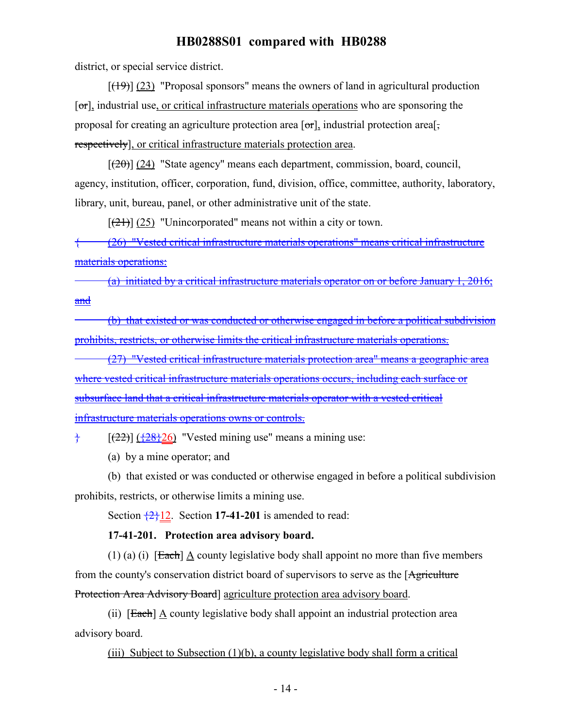district, or special service district.

 $[(19)] (23)$  "Proposal sponsors" means the owners of land in agricultural production  $[\sigma_{\text{r}}]$ , industrial use, or critical infrastructure materials operations who are sponsoring the proposal for creating an agriculture protection area  $[\sigma r]$ , industrial protection area<sup>[ $\sigma$ </sup>], respectively], or critical infrastructure materials protection area.

 $[(20)]$  (24) "State agency" means each department, commission, board, council, agency, institution, officer, corporation, fund, division, office, committee, authority, laboratory, library, unit, bureau, panel, or other administrative unit of the state.

 $[\frac{(21)}{(25)}]$  "Unincorporated" means not within a city or town.

{ (26) "Vested critical infrastructure materials operations" means critical infrastructure materials operations:

(a) initiated by a critical infrastructure materials operator on or before January 1, 2016; and

(b) that existed or was conducted or otherwise engaged in before a political subdivision prohibits, restricts, or otherwise limits the critical infrastructure materials operations.

(27) "Vested critical infrastructure materials protection area" means a geographic area where vested critical infrastructure materials operations occurs, including each surface or subsurface land that a critical infrastructure materials operator with a vested critical infrastructure materials operations owns or controls.

 $\frac{1}{2}$  [(22)] ( $\frac{128}{26}$ ] "Vested mining use" means a mining use:

(a) by a mine operator; and

(b) that existed or was conducted or otherwise engaged in before a political subdivision prohibits, restricts, or otherwise limits a mining use.

Section  $\frac{2}{12}$ . Section 17-41-201 is amended to read:

#### **17-41-201. Protection area advisory board.**

(1) (a) (i)  $[Each] A count y legis lattice body shall appoint no more than five members$ from the county's conservation district board of supervisors to serve as the [Agriculture] Protection Area Advisory Board] agriculture protection area advisory board.

(ii) [Each] A county legislative body shall appoint an industrial protection area advisory board.

(iii) Subject to Subsection (1)(b), a county legislative body shall form a critical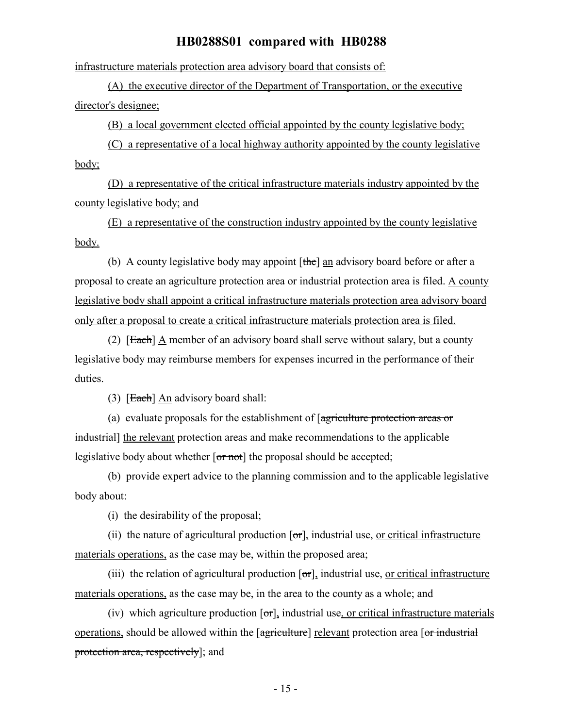infrastructure materials protection area advisory board that consists of:

(A) the executive director of the Department of Transportation, or the executive director's designee;

(B) a local government elected official appointed by the county legislative body;

(C) a representative of a local highway authority appointed by the county legislative body;

(D) a representative of the critical infrastructure materials industry appointed by the county legislative body; and

(E) a representative of the construction industry appointed by the county legislative body.

(b) A county legislative body may appoint [the] an advisory board before or after a proposal to create an agriculture protection area or industrial protection area is filed. A county legislative body shall appoint a critical infrastructure materials protection area advisory board only after a proposal to create a critical infrastructure materials protection area is filed.

(2)  $[Each] A member of an advisorv board shall serve without salary, but a country$ legislative body may reimburse members for expenses incurred in the performance of their duties.

(3)  $[Each] An$  advisory board shall:

(a) evaluate proposals for the establishment of [agriculture protection areas or industrial] the relevant protection areas and make recommendations to the applicable legislative body about whether  $\overline{or not}$  the proposal should be accepted;

(b) provide expert advice to the planning commission and to the applicable legislative body about:

(i) the desirability of the proposal;

(ii) the nature of agricultural production  $[\sigma r]$ , industrial use, <u>or critical infrastructure</u> materials operations, as the case may be, within the proposed area;

(iii) the relation of agricultural production  $\sigma$ , industrial use, or critical infrastructure materials operations, as the case may be, in the area to the county as a whole; and

(iv) which agriculture production  $\sigma$ , industrial use, or critical infrastructure materials operations, should be allowed within the [agriculture] relevant protection area [or industrial] protection area, respectively]; and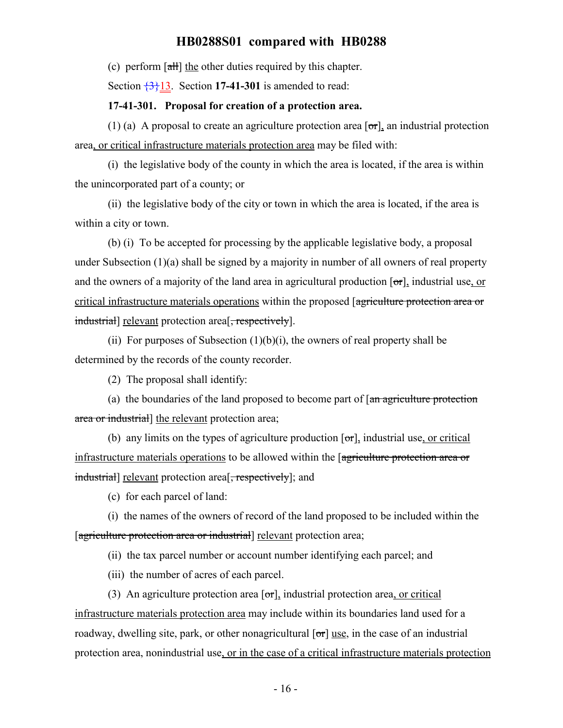(c) perform  $\left[\frac{\text{d}}{\text{d}t}\right]$  the other duties required by this chapter.

Section  $\frac{3}{13}$ . Section 17-41-301 is amended to read:

#### **17-41-301. Proposal for creation of a protection area.**

(1) (a) A proposal to create an agriculture protection area  $\sigma$ , an industrial protection area, or critical infrastructure materials protection area may be filed with:

(i) the legislative body of the county in which the area is located, if the area is within the unincorporated part of a county; or

(ii) the legislative body of the city or town in which the area is located, if the area is within a city or town.

(b) (i) To be accepted for processing by the applicable legislative body, a proposal under Subsection (1)(a) shall be signed by a majority in number of all owners of real property and the owners of a majority of the land area in agricultural production  $[\sigma r]$ , industrial use, or critical infrastructure materials operations within the proposed [agriculture protection area or industrial] relevant protection area<sup>[</sup>, respectively].

(ii) For purposes of Subsection  $(1)(b)(i)$ , the owners of real property shall be determined by the records of the county recorder.

(2) The proposal shall identify:

(a) the boundaries of the land proposed to become part of  $\lceil \frac{an}{\text{agriculture protection}} \rceil$ area or industrial] the relevant protection area;

(b) any limits on the types of agriculture production  $[\sigma \tau]$ , industrial use, or critical infrastructure materials operations to be allowed within the [agriculture protection area or industrial] relevant protection area<sup>[</sup>, respectively]; and

(c) for each parcel of land:

(i) the names of the owners of record of the land proposed to be included within the [agriculture protection area or industrial] relevant protection area;

(ii) the tax parcel number or account number identifying each parcel; and

(iii) the number of acres of each parcel.

(3) An agriculture protection area  $\lceil \sigma r \rceil$ , industrial protection area, or critical infrastructure materials protection area may include within its boundaries land used for a roadway, dwelling site, park, or other nonagricultural  $\sigma$  and  $\sigma$  and  $\sigma$  and industrial protection area, nonindustrial use, or in the case of a critical infrastructure materials protection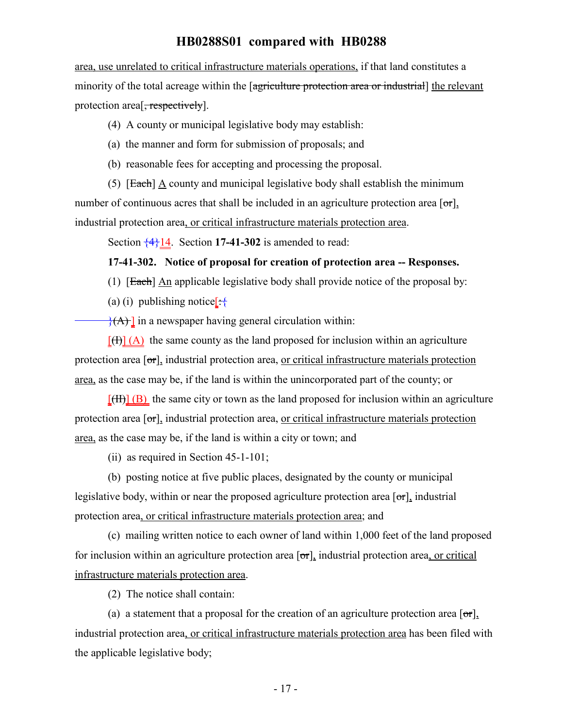area, use unrelated to critical infrastructure materials operations, if that land constitutes a minority of the total acreage within the [agriculture protection area or industrial] the relevant protection area<sup>[, respectively].</sup>

(4) A county or municipal legislative body may establish:

(a) the manner and form for submission of proposals; and

(b) reasonable fees for accepting and processing the proposal.

(5)  $[Each] A county and municipal legislative body shall establish the minimum$ number of continuous acres that shall be included in an agriculture protection area  $\lceil \sigma r \rceil$ , industrial protection area, or critical infrastructure materials protection area.

Section  $\frac{4}{14}$ . Section 17-41-302 is amended to read:

#### **17-41-302. Notice of proposal for creation of protection area -- Responses.**

(1)  $[Each]$  An applicable legislative body shall provide notice of the proposal by:

(a) (i) publishing notice  $\left[\cdot\right]$ 

 $\{A\}$  in a newspaper having general circulation within:

 $[\text{H}](A)$  the same county as the land proposed for inclusion within an agriculture protection area  $\lceil \sigma r \rceil$ , industrial protection area, or critical infrastructure materials protection area, as the case may be, if the land is within the unincorporated part of the county; or

 $[\text{H}\text{H}]\text{B}$  the same city or town as the land proposed for inclusion within an agriculture protection area  $[\sigma_{\tau}]$ , industrial protection area, or critical infrastructure materials protection area, as the case may be, if the land is within a city or town; and

(ii) as required in Section 45-1-101;

(b) posting notice at five public places, designated by the county or municipal legislative body, within or near the proposed agriculture protection area  $\sigma$ , industrial protection area, or critical infrastructure materials protection area; and

(c) mailing written notice to each owner of land within 1,000 feet of the land proposed for inclusion within an agriculture protection area  $[\sigma r]$ , industrial protection area, or critical infrastructure materials protection area.

(2) The notice shall contain:

(a) a statement that a proposal for the creation of an agriculture protection area  $\lceil \sigma r \rceil$ , industrial protection area, or critical infrastructure materials protection area has been filed with the applicable legislative body;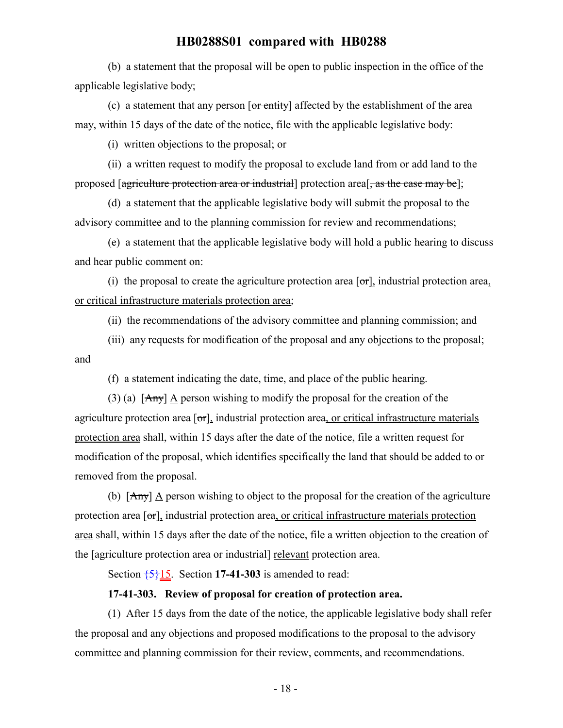(b) a statement that the proposal will be open to public inspection in the office of the applicable legislative body;

(c) a statement that any person  $\overline{or$  entity] affected by the establishment of the area may, within 15 days of the date of the notice, file with the applicable legislative body:

(i) written objections to the proposal; or

(ii) a written request to modify the proposal to exclude land from or add land to the proposed [agriculture protection area or industrial] protection area<sup>[</sup>, as the case may be];

(d) a statement that the applicable legislative body will submit the proposal to the advisory committee and to the planning commission for review and recommendations;

(e) a statement that the applicable legislative body will hold a public hearing to discuss and hear public comment on:

(i) the proposal to create the agriculture protection area  $[\sigma r]$ , industrial protection area, or critical infrastructure materials protection area;

(ii) the recommendations of the advisory committee and planning commission; and

(iii) any requests for modification of the proposal and any objections to the proposal; and

(f) a statement indicating the date, time, and place of the public hearing.

(3) (a)  $[Amy]$   $\triangle$  person wishing to modify the proposal for the creation of the agriculture protection area  $[\sigma r]$ , industrial protection area, or critical infrastructure materials protection area shall, within 15 days after the date of the notice, file a written request for modification of the proposal, which identifies specifically the land that should be added to or removed from the proposal.

(b)  $[Any]$  A person wishing to object to the proposal for the creation of the agriculture protection area  $[\sigma_{\text{r}}]$ , industrial protection area, or critical infrastructure materials protection area shall, within 15 days after the date of the notice, file a written objection to the creation of the [agriculture protection area or industrial] relevant protection area.

Section  $\frac{5}{15}$ . Section 17-41-303 is amended to read:

#### **17-41-303. Review of proposal for creation of protection area.**

(1) After 15 days from the date of the notice, the applicable legislative body shall refer the proposal and any objections and proposed modifications to the proposal to the advisory committee and planning commission for their review, comments, and recommendations.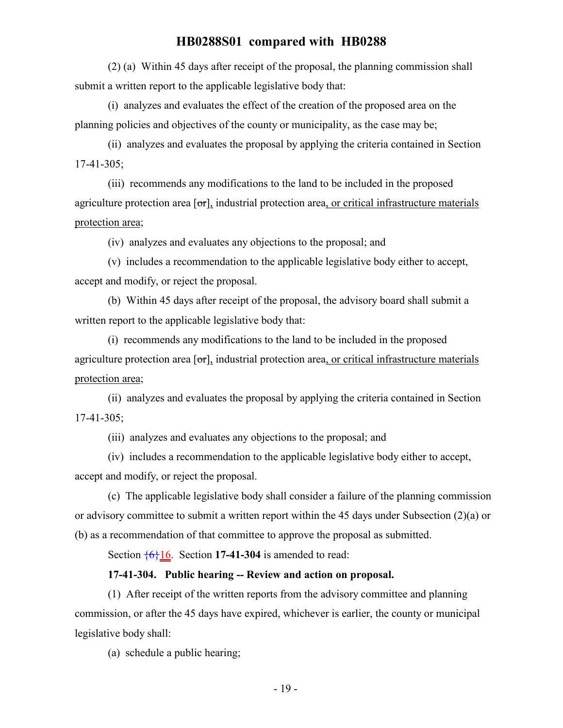(2) (a) Within 45 days after receipt of the proposal, the planning commission shall submit a written report to the applicable legislative body that:

(i) analyzes and evaluates the effect of the creation of the proposed area on the planning policies and objectives of the county or municipality, as the case may be;

(ii) analyzes and evaluates the proposal by applying the criteria contained in Section 17-41-305;

(iii) recommends any modifications to the land to be included in the proposed agriculture protection area  $[\sigma r]$ , industrial protection area, or critical infrastructure materials protection area;

(iv) analyzes and evaluates any objections to the proposal; and

(v) includes a recommendation to the applicable legislative body either to accept, accept and modify, or reject the proposal.

(b) Within 45 days after receipt of the proposal, the advisory board shall submit a written report to the applicable legislative body that:

(i) recommends any modifications to the land to be included in the proposed agriculture protection area  $[\sigma r]$ , industrial protection area, or critical infrastructure materials protection area;

(ii) analyzes and evaluates the proposal by applying the criteria contained in Section 17-41-305;

(iii) analyzes and evaluates any objections to the proposal; and

(iv) includes a recommendation to the applicable legislative body either to accept, accept and modify, or reject the proposal.

(c) The applicable legislative body shall consider a failure of the planning commission or advisory committee to submit a written report within the 45 days under Subsection (2)(a) or (b) as a recommendation of that committee to approve the proposal as submitted.

Section  $\frac{6}{6}$  16. Section 17-41-304 is amended to read:

### **17-41-304. Public hearing -- Review and action on proposal.**

(1) After receipt of the written reports from the advisory committee and planning commission, or after the 45 days have expired, whichever is earlier, the county or municipal legislative body shall:

(a) schedule a public hearing;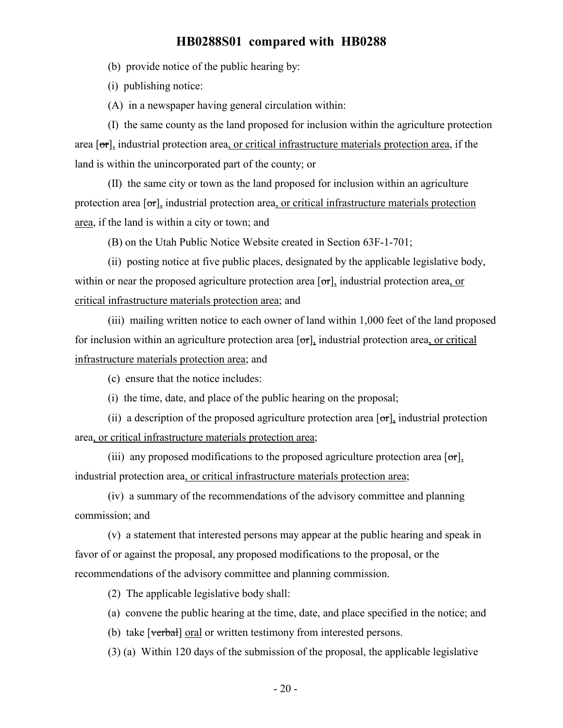(b) provide notice of the public hearing by:

(i) publishing notice:

(A) in a newspaper having general circulation within:

(I) the same county as the land proposed for inclusion within the agriculture protection area  $\sigma$ , industrial protection area, or critical infrastructure materials protection area, if the land is within the unincorporated part of the county; or

(II) the same city or town as the land proposed for inclusion within an agriculture protection area  $\sigma$ , industrial protection area, or critical infrastructure materials protection area, if the land is within a city or town; and

(B) on the Utah Public Notice Website created in Section 63F-1-701;

(ii) posting notice at five public places, designated by the applicable legislative body, within or near the proposed agriculture protection area  $\sigma$ , industrial protection area, or critical infrastructure materials protection area; and

(iii) mailing written notice to each owner of land within 1,000 feet of the land proposed for inclusion within an agriculture protection area  $\sigma$ , industrial protection area, or critical infrastructure materials protection area; and

(c) ensure that the notice includes:

(i) the time, date, and place of the public hearing on the proposal;

(ii) a description of the proposed agriculture protection area  $[\sigma r]$ , industrial protection area, or critical infrastructure materials protection area;

(iii) any proposed modifications to the proposed agriculture protection area  $\sigma$ , industrial protection area, or critical infrastructure materials protection area;

(iv) a summary of the recommendations of the advisory committee and planning commission; and

(v) a statement that interested persons may appear at the public hearing and speak in favor of or against the proposal, any proposed modifications to the proposal, or the recommendations of the advisory committee and planning commission.

(2) The applicable legislative body shall:

(a) convene the public hearing at the time, date, and place specified in the notice; and

(b) take [verbal] oral or written testimony from interested persons.

(3) (a) Within 120 days of the submission of the proposal, the applicable legislative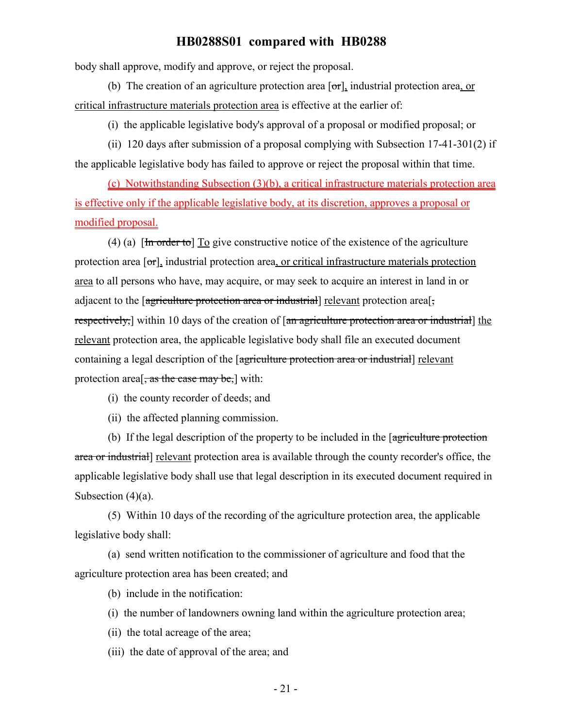body shall approve, modify and approve, or reject the proposal.

(b) The creation of an agriculture protection area  $\sigma$ , industrial protection area, or critical infrastructure materials protection area is effective at the earlier of:

(i) the applicable legislative body's approval of a proposal or modified proposal; or

(ii) 120 days after submission of a proposal complying with Subsection 17-41-301(2) if the applicable legislative body has failed to approve or reject the proposal within that time.

(c) Notwithstanding Subsection (3)(b), a critical infrastructure materials protection area is effective only if the applicable legislative body, at its discretion, approves a proposal or modified proposal.

(4) (a)  $\left[\frac{\text{Im}\ \text{order to}}{\text{Im}\ \text{g}}\right]$  To give constructive notice of the existence of the agriculture protection area  $\lceil \sigma r \rceil$ , industrial protection area, or critical infrastructure materials protection area to all persons who have, may acquire, or may seek to acquire an interest in land in or adjacent to the [agriculture protection area or industrial] relevant protection area<sup>[-1]</sup> respectively, within 10 days of the creation of [an agriculture protection area or industrial] the relevant protection area, the applicable legislative body shall file an executed document containing a legal description of the [agriculture protection area or industrial] relevant protection area<sup>[, as the case may be,]</sup> with:

- (i) the county recorder of deeds; and
- (ii) the affected planning commission.

(b) If the legal description of the property to be included in the [agriculture protection area or industrial] relevant protection area is available through the county recorder's office, the applicable legislative body shall use that legal description in its executed document required in Subsection  $(4)(a)$ .

(5) Within 10 days of the recording of the agriculture protection area, the applicable legislative body shall:

(a) send written notification to the commissioner of agriculture and food that the agriculture protection area has been created; and

(b) include in the notification:

- (i) the number of landowners owning land within the agriculture protection area;
- (ii) the total acreage of the area;

(iii) the date of approval of the area; and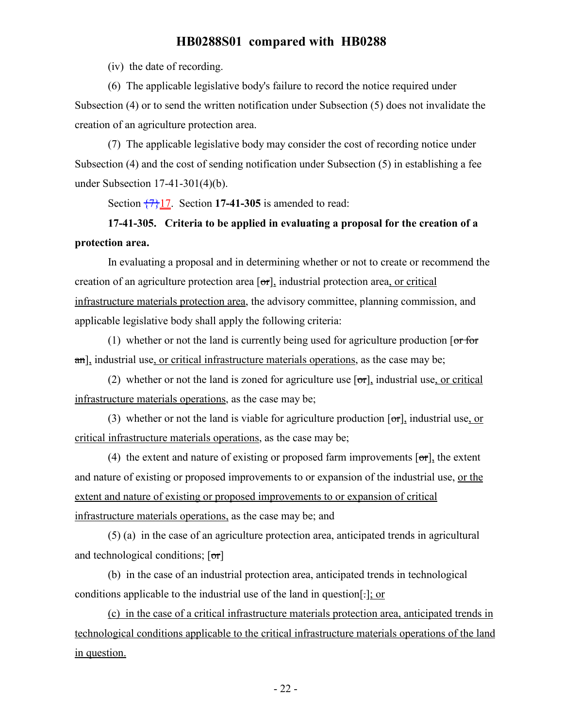(iv) the date of recording.

(6) The applicable legislative body's failure to record the notice required under Subsection (4) or to send the written notification under Subsection (5) does not invalidate the creation of an agriculture protection area.

(7) The applicable legislative body may consider the cost of recording notice under Subsection (4) and the cost of sending notification under Subsection (5) in establishing a fee under Subsection 17-41-301(4)(b).

Section  $\frac{7}{17}$ . Section **17-41-305** is amended to read:

# **17-41-305. Criteria to be applied in evaluating a proposal for the creation of a protection area.**

In evaluating a proposal and in determining whether or not to create or recommend the creation of an agriculture protection area  $[\sigma_{\tau}]$ , industrial protection area, or critical infrastructure materials protection area, the advisory committee, planning commission, and applicable legislative body shall apply the following criteria:

(1) whether or not the land is currently being used for agriculture production  $\sigma$  for an], industrial use, or critical infrastructure materials operations, as the case may be;

(2) whether or not the land is zoned for agriculture use  $[\sigma r]$ , industrial use, or critical infrastructure materials operations, as the case may be;

(3) whether or not the land is viable for agriculture production  $[\sigma r]$ , industrial use, or critical infrastructure materials operations, as the case may be;

(4) the extent and nature of existing or proposed farm improvements  $\sigma$ , the extent and nature of existing or proposed improvements to or expansion of the industrial use, or the extent and nature of existing or proposed improvements to or expansion of critical infrastructure materials operations, as the case may be; and

(5) (a) in the case of an agriculture protection area, anticipated trends in agricultural and technological conditions;  $[\sigma r]$ 

(b) in the case of an industrial protection area, anticipated trends in technological conditions applicable to the industrial use of the land in question[.]; or

(c) in the case of a critical infrastructure materials protection area, anticipated trends in technological conditions applicable to the critical infrastructure materials operations of the land in question.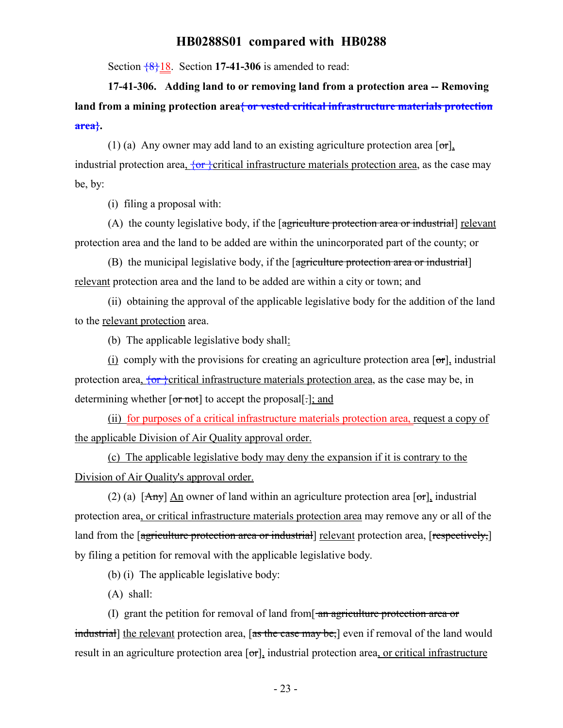Section {8}18. Section **17-41-306** is amended to read:

**17-41-306. Adding land to or removing land from a protection area -- Removing land from a mining protection area{ or vested critical infrastructure materials protection area}.**

(1) (a) Any owner may add land to an existing agriculture protection area  $\lceil \sigma r \rceil$ , industrial protection area,  $\overline{\{or\}}$ critical infrastructure materials protection area, as the case may be, by:

(i) filing a proposal with:

(A) the county legislative body, if the [agriculture protection area or industrial] relevant protection area and the land to be added are within the unincorporated part of the county; or

(B) the municipal legislative body, if the [agriculture protection area or industrial] relevant protection area and the land to be added are within a city or town; and

(ii) obtaining the approval of the applicable legislative body for the addition of the land to the relevant protection area.

(b) The applicable legislative body shall:

(i) comply with the provisions for creating an agriculture protection area  $[\sigma r]$ , industrial protection area,  $\overline{\{or\}}$ critical infrastructure materials protection area, as the case may be, in determining whether  $\overline{[or not]}$  to accept the proposal[ $\overline{c}$ ]; and

(ii) for purposes of a critical infrastructure materials protection area, request a copy of the applicable Division of Air Quality approval order.

(c) The applicable legislative body may deny the expansion if it is contrary to the Division of Air Quality's approval order.

(2) (a)  $[Amy]$  An owner of land within an agriculture protection area  $[or]$ , industrial protection area, or critical infrastructure materials protection area may remove any or all of the land from the [agriculture protection area or industrial] relevant protection area, [respectively,] by filing a petition for removal with the applicable legislative body.

(b) (i) The applicable legislative body:

(A) shall:

(I) grant the petition for removal of land from  $\frac{1}{2}$  and  $\frac{1}{2}$  are protection area or industrial] the relevant protection area, [as the case may be,] even if removal of the land would result in an agriculture protection area  $\sigma$ , industrial protection area, or critical infrastructure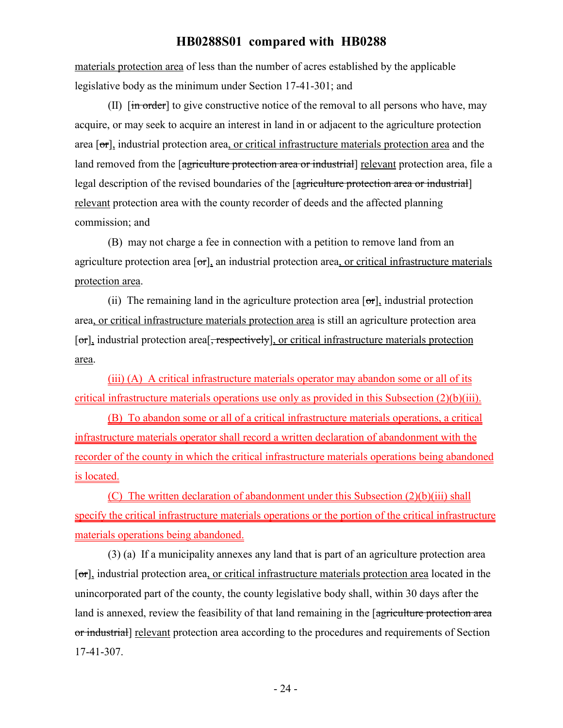materials protection area of less than the number of acres established by the applicable legislative body as the minimum under Section 17-41-301; and

(II)  $\left[\frac{1}{10}\right]$  for give constructive notice of the removal to all persons who have, may acquire, or may seek to acquire an interest in land in or adjacent to the agriculture protection area  $\sigma$ , industrial protection area, or critical infrastructure materials protection area and the land removed from the [agriculture protection area or industrial] relevant protection area, file a legal description of the revised boundaries of the [agriculture protection area or industrial] relevant protection area with the county recorder of deeds and the affected planning commission; and

(B) may not charge a fee in connection with a petition to remove land from an agriculture protection area [or], an industrial protection area, or critical infrastructure materials protection area.

(ii) The remaining land in the agriculture protection area  $[\sigma\tau]$ , industrial protection area, or critical infrastructure materials protection area is still an agriculture protection area [or], industrial protection area<sup>[</sup>, respectively], or critical infrastructure materials protection area.

(iii) (A) A critical infrastructure materials operator may abandon some or all of its critical infrastructure materials operations use only as provided in this Subsection (2)(b)(iii).

(B) To abandon some or all of a critical infrastructure materials operations, a critical infrastructure materials operator shall record a written declaration of abandonment with the recorder of the county in which the critical infrastructure materials operations being abandoned is located.

(C) The written declaration of abandonment under this Subsection (2)(b)(iii) shall specify the critical infrastructure materials operations or the portion of the critical infrastructure materials operations being abandoned.

(3) (a) If a municipality annexes any land that is part of an agriculture protection area [or], industrial protection area, or critical infrastructure materials protection area located in the unincorporated part of the county, the county legislative body shall, within 30 days after the land is annexed, review the feasibility of that land remaining in the [agriculture protection area or industrial] relevant protection area according to the procedures and requirements of Section 17-41-307.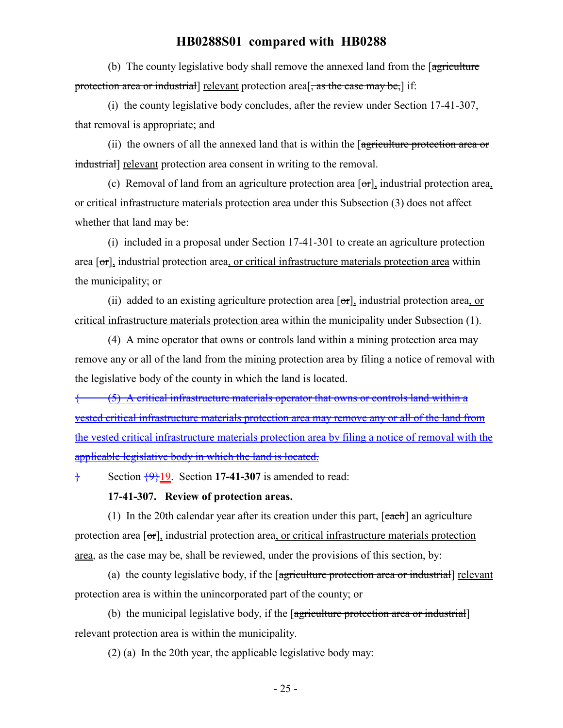(b) The county legislative body shall remove the annexed land from the [agriculture] protection area or industrial] relevant protection area<sup>[</sup>, as the case may be,] if:

(i) the county legislative body concludes, after the review under Section 17-41-307, that removal is appropriate; and

(ii) the owners of all the annexed land that is within the [agriculture protection area or industrial] relevant protection area consent in writing to the removal.

(c) Removal of land from an agriculture protection area  $[\sigma r]$ , industrial protection area, or critical infrastructure materials protection area under this Subsection (3) does not affect whether that land may be:

(i) included in a proposal under Section 17-41-301 to create an agriculture protection area  $\sigma$ , industrial protection area, or critical infrastructure materials protection area within the municipality; or

(ii) added to an existing agriculture protection area  $\sigma$ , industrial protection area, or critical infrastructure materials protection area within the municipality under Subsection (1).

(4) A mine operator that owns or controls land within a mining protection area may remove any or all of the land from the mining protection area by filing a notice of removal with the legislative body of the county in which the land is located.

{ (5) A critical infrastructure materials operator that owns or controls land within a vested critical infrastructure materials protection area may remove any or all of the land from the vested critical infrastructure materials protection area by filing a notice of removal with the applicable legislative body in which the land is located.

 $\frac{1}{2}$  Section  $\frac{49}{19}$ . Section 17-41-307 is amended to read:

#### **17-41-307. Review of protection areas.**

(1) In the 20th calendar year after its creation under this part,  $[each]$  an agriculture protection area  $[\sigma_{\tau}]$ , industrial protection area, or critical infrastructure materials protection area, as the case may be, shall be reviewed, under the provisions of this section, by:

(a) the county legislative body, if the [agriculture protection area or industrial] relevant protection area is within the unincorporated part of the county; or

(b) the municipal legislative body, if the [agriculture protection area or industrial] relevant protection area is within the municipality.

(2) (a) In the 20th year, the applicable legislative body may: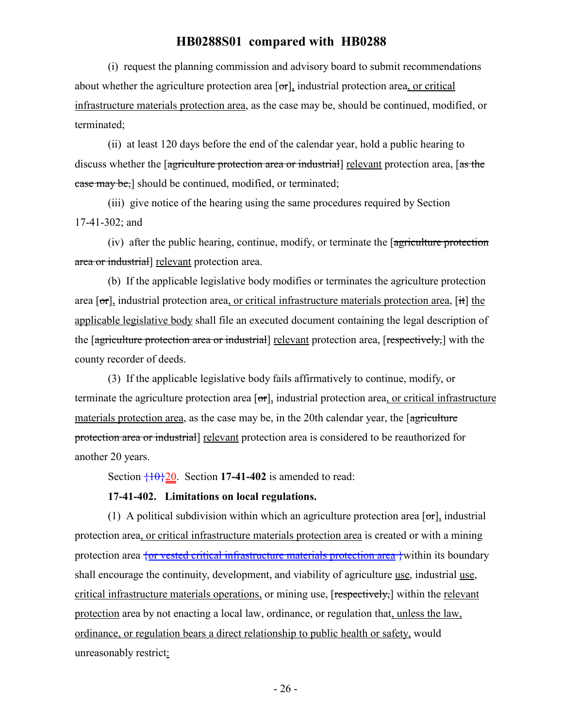(i) request the planning commission and advisory board to submit recommendations about whether the agriculture protection area  $[\sigma r]$ , industrial protection area, or critical infrastructure materials protection area, as the case may be, should be continued, modified, or terminated;

(ii) at least 120 days before the end of the calendar year, hold a public hearing to discuss whether the [agriculture protection area or industrial] relevant protection area, [as the case may be,] should be continued, modified, or terminated;

(iii) give notice of the hearing using the same procedures required by Section 17-41-302; and

(iv) after the public hearing, continue, modify, or terminate the [agriculture protection area or industrial] relevant protection area.

(b) If the applicable legislative body modifies or terminates the agriculture protection area  $\sigma$ , industrial protection area, or critical infrastructure materials protection area,  $\sigma$  it) the applicable legislative body shall file an executed document containing the legal description of the [agriculture protection area or industrial] relevant protection area, [respectively,] with the county recorder of deeds.

(3) If the applicable legislative body fails affirmatively to continue, modify, or terminate the agriculture protection area  $\sigma$ , industrial protection area, or critical infrastructure materials protection area, as the case may be, in the 20th calendar year, the [agriculture] protection area or industrial] relevant protection area is considered to be reauthorized for another 20 years.

Section  $\overline{10}$  20. Section 17-41-402 is amended to read:

#### **17-41-402. Limitations on local regulations.**

(1) A political subdivision within which an agriculture protection area  $\lceil \sigma r \rceil$ , industrial protection area, or critical infrastructure materials protection area is created or with a mining protection area  $\frac{1}{2}$  or vested critical infrastructure materials protection area  $\frac{1}{2}$  within its boundary shall encourage the continuity, development, and viability of agriculture use, industrial use, critical infrastructure materials operations, or mining use, [respectively,] within the relevant protection area by not enacting a local law, ordinance, or regulation that, unless the law, ordinance, or regulation bears a direct relationship to public health or safety, would unreasonably restrict: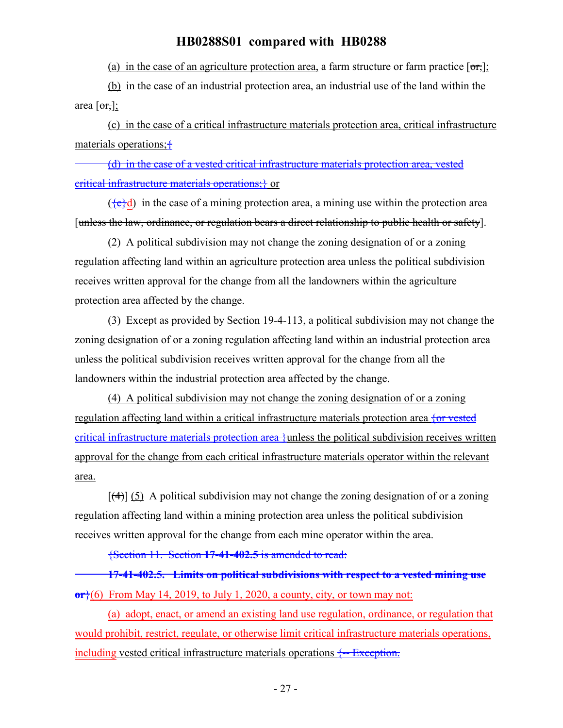(a) in the case of an agriculture protection area, a farm structure or farm practice  $\lceil \sigma r \rceil$ ;

(b) in the case of an industrial protection area, an industrial use of the land within the area  $[\sigma r, ]$ ;

(c) in the case of a critical infrastructure materials protection area, critical infrastructure materials operations;{

(d) in the case of a vested critical infrastructure materials protection area, vested critical infrastructure materials operations;} or

 $({e} \cdot d)$  in the case of a mining protection area, a mining use within the protection area [unless the law, ordinance, or regulation bears a direct relationship to public health or safety].

(2) A political subdivision may not change the zoning designation of or a zoning regulation affecting land within an agriculture protection area unless the political subdivision receives written approval for the change from all the landowners within the agriculture protection area affected by the change.

(3) Except as provided by Section 19-4-113, a political subdivision may not change the zoning designation of or a zoning regulation affecting land within an industrial protection area unless the political subdivision receives written approval for the change from all the landowners within the industrial protection area affected by the change.

(4) A political subdivision may not change the zoning designation of or a zoning regulation affecting land within a critical infrastructure materials protection area {or vested critical infrastructure materials protection area }unless the political subdivision receives written approval for the change from each critical infrastructure materials operator within the relevant area.

 $[\frac{4}{3}]$  (5) A political subdivision may not change the zoning designation of or a zoning regulation affecting land within a mining protection area unless the political subdivision receives written approval for the change from each mine operator within the area.

{Section 11. Section **17-41-402.5** is amended to read:

**17-41-402.5. Limits on political subdivisions with respect to a vested mining use or**}(6) From May 14, 2019, to July 1, 2020, a county, city, or town may not:

(a) adopt, enact, or amend an existing land use regulation, ordinance, or regulation that would prohibit, restrict, regulate, or otherwise limit critical infrastructure materials operations, including vested critical infrastructure materials operations  $\frac{1}{2}$  Exception.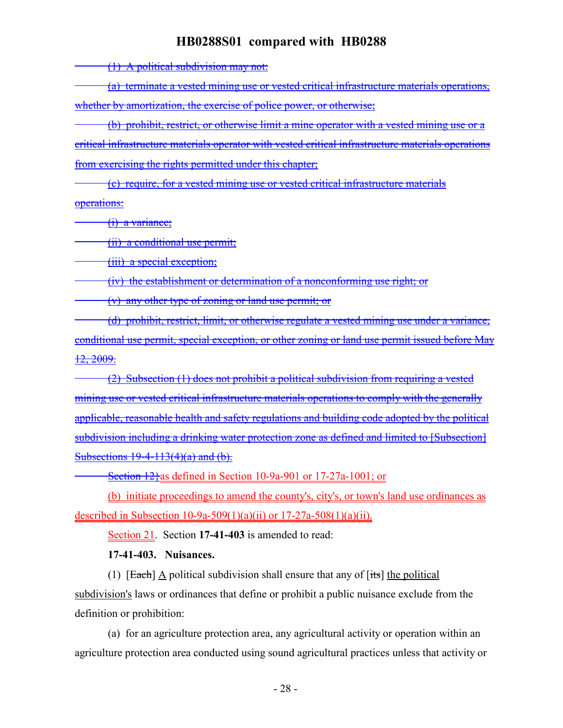(1) A political subdivision may not:

(a) terminate a vested mining use or vested critical infrastructure materials operations, whether by amortization, the exercise of police power, or otherwise;

(b) prohibit, restrict, or otherwise limit a mine operator with a vested mining use or a critical infrastructure materials operator with vested critical infrastructure materials operations from exercising the rights permitted under this chapter;

(c) require, for a vested mining use or vested critical infrastructure materials operations:

(i) a variance;

(ii) a conditional use permit;

(iii) a special exception;

(iv) the establishment or determination of a nonconforming use right; or

(v) any other type of zoning or land use permit; or

(d) prohibit, restrict, limit, or otherwise regulate a vested mining use under a variance, conditional use permit, special exception, or other zoning or land use permit issued before May 12, 2009.

(2) Subsection (1) does not prohibit a political subdivision from requiring a vested mining use or vested critical infrastructure materials operations to comply with the generally applicable, reasonable health and safety regulations and building code adopted by the political subdivision including a drinking water protection zone as defined and limited to [Subsection] Subsections  $19-4-113(4)(a)$  and  $(b)$ .

Section 12}as defined in Section 10-9a-901 or 17-27a-1001; or

(b) initiate proceedings to amend the county's, city's, or town's land use ordinances as described in Subsection 10-9a-509(1)(a)(ii) or  $17-27a-508(1)(a)(ii)$ .

Section 21. Section **17-41-403** is amended to read:

**17-41-403. Nuisances.**

(1)  $[Each]$  A political subdivision shall ensure that any of  $[its]$  the political subdivision's laws or ordinances that define or prohibit a public nuisance exclude from the definition or prohibition:

(a) for an agriculture protection area, any agricultural activity or operation within an agriculture protection area conducted using sound agricultural practices unless that activity or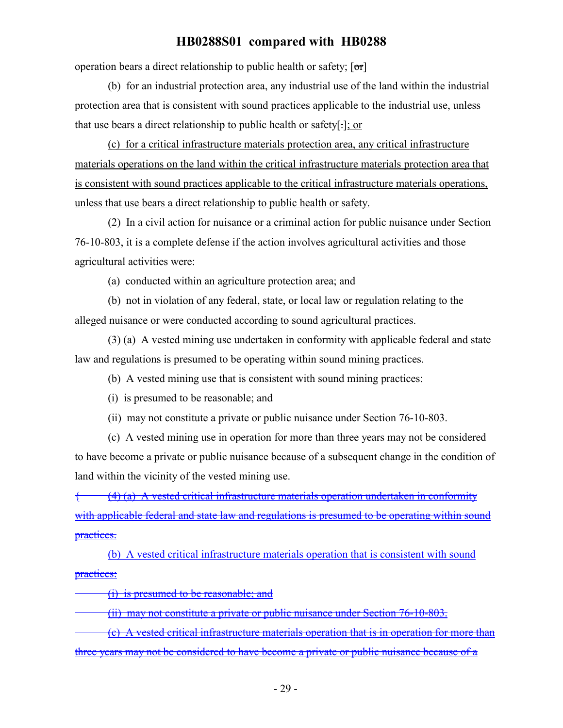operation bears a direct relationship to public health or safety;  $[\sigma r]$ 

(b) for an industrial protection area, any industrial use of the land within the industrial protection area that is consistent with sound practices applicable to the industrial use, unless that use bears a direct relationship to public health or safety[.]; or

(c) for a critical infrastructure materials protection area, any critical infrastructure materials operations on the land within the critical infrastructure materials protection area that is consistent with sound practices applicable to the critical infrastructure materials operations, unless that use bears a direct relationship to public health or safety.

(2) In a civil action for nuisance or a criminal action for public nuisance under Section 76-10-803, it is a complete defense if the action involves agricultural activities and those agricultural activities were:

(a) conducted within an agriculture protection area; and

(b) not in violation of any federal, state, or local law or regulation relating to the alleged nuisance or were conducted according to sound agricultural practices.

(3) (a) A vested mining use undertaken in conformity with applicable federal and state law and regulations is presumed to be operating within sound mining practices.

(b) A vested mining use that is consistent with sound mining practices:

(i) is presumed to be reasonable; and

(ii) may not constitute a private or public nuisance under Section 76-10-803.

(c) A vested mining use in operation for more than three years may not be considered to have become a private or public nuisance because of a subsequent change in the condition of land within the vicinity of the vested mining use.

 $(4)$  (a) A vested critical infrastructure materials operation undertaken in conformity with applicable federal and state law and regulations is presumed to be operating within sound practices.

(b) A vested critical infrastructure materials operation that is consistent with sound practices:

(i) is presumed to be reasonable; and

(ii) may not constitute a private or public nuisance under Section 76-10-803.

(c) A vested critical infrastructure materials operation that is in operation for more than three years may not be considered to have become a private or public nuisance because of a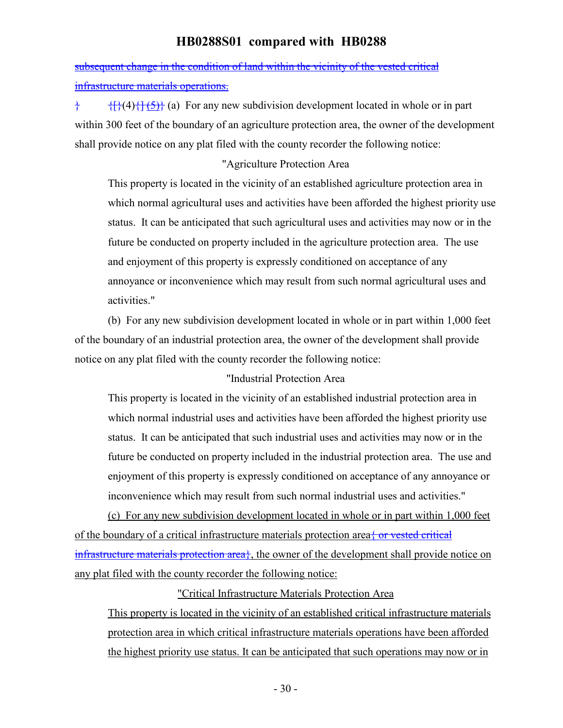subsequent change in the condition of land within the vicinity of the vested critical infrastructure materials operations.

 ${}_{\uparrow}$  { ${}_{\uparrow}$ }(4){ ${}_{\uparrow}$ { $\uparrow$ {5}}} (a) For any new subdivision development located in whole or in part within 300 feet of the boundary of an agriculture protection area, the owner of the development shall provide notice on any plat filed with the county recorder the following notice:

### "Agriculture Protection Area

This property is located in the vicinity of an established agriculture protection area in which normal agricultural uses and activities have been afforded the highest priority use status. It can be anticipated that such agricultural uses and activities may now or in the future be conducted on property included in the agriculture protection area. The use and enjoyment of this property is expressly conditioned on acceptance of any annoyance or inconvenience which may result from such normal agricultural uses and activities."

(b) For any new subdivision development located in whole or in part within 1,000 feet of the boundary of an industrial protection area, the owner of the development shall provide notice on any plat filed with the county recorder the following notice:

#### "Industrial Protection Area

This property is located in the vicinity of an established industrial protection area in which normal industrial uses and activities have been afforded the highest priority use status. It can be anticipated that such industrial uses and activities may now or in the future be conducted on property included in the industrial protection area. The use and enjoyment of this property is expressly conditioned on acceptance of any annoyance or inconvenience which may result from such normal industrial uses and activities."

(c) For any new subdivision development located in whole or in part within 1,000 feet of the boundary of a critical infrastructure materials protection area  $\frac{1}{2}$  or vested critical infrastructure materials protection area<sup>}</sup>, the owner of the development shall provide notice on any plat filed with the county recorder the following notice:

### "Critical Infrastructure Materials Protection Area

This property is located in the vicinity of an established critical infrastructure materials protection area in which critical infrastructure materials operations have been afforded the highest priority use status. It can be anticipated that such operations may now or in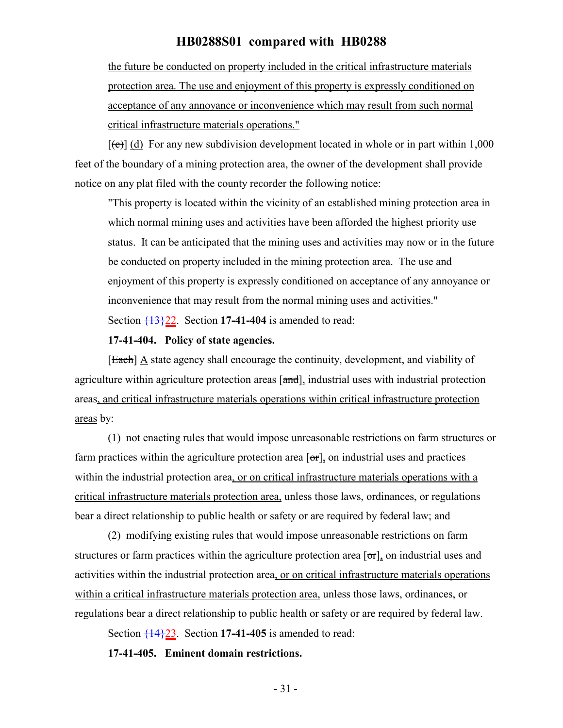the future be conducted on property included in the critical infrastructure materials protection area. The use and enjoyment of this property is expressly conditioned on acceptance of any annoyance or inconvenience which may result from such normal critical infrastructure materials operations."

 $[\text{e}(\text{e})]$  (d) For any new subdivision development located in whole or in part within 1,000 feet of the boundary of a mining protection area, the owner of the development shall provide notice on any plat filed with the county recorder the following notice:

"This property is located within the vicinity of an established mining protection area in which normal mining uses and activities have been afforded the highest priority use status. It can be anticipated that the mining uses and activities may now or in the future be conducted on property included in the mining protection area. The use and enjoyment of this property is expressly conditioned on acceptance of any annoyance or inconvenience that may result from the normal mining uses and activities." Section {13}22. Section **17-41-404** is amended to read:

#### **17-41-404. Policy of state agencies.**

[Each] A state agency shall encourage the continuity, development, and viability of agriculture within agriculture protection areas [and], industrial uses with industrial protection areas, and critical infrastructure materials operations within critical infrastructure protection areas by:

(1) not enacting rules that would impose unreasonable restrictions on farm structures or farm practices within the agriculture protection area  $\sigma$ , on industrial uses and practices within the industrial protection area, or on critical infrastructure materials operations with a critical infrastructure materials protection area, unless those laws, ordinances, or regulations bear a direct relationship to public health or safety or are required by federal law; and

(2) modifying existing rules that would impose unreasonable restrictions on farm structures or farm practices within the agriculture protection area  $[\sigma \tau]$ , on industrial uses and activities within the industrial protection area, or on critical infrastructure materials operations within a critical infrastructure materials protection area, unless those laws, ordinances, or regulations bear a direct relationship to public health or safety or are required by federal law.

Section  $\frac{14}{23}$ . Section 17-41-405 is amended to read:

#### **17-41-405. Eminent domain restrictions.**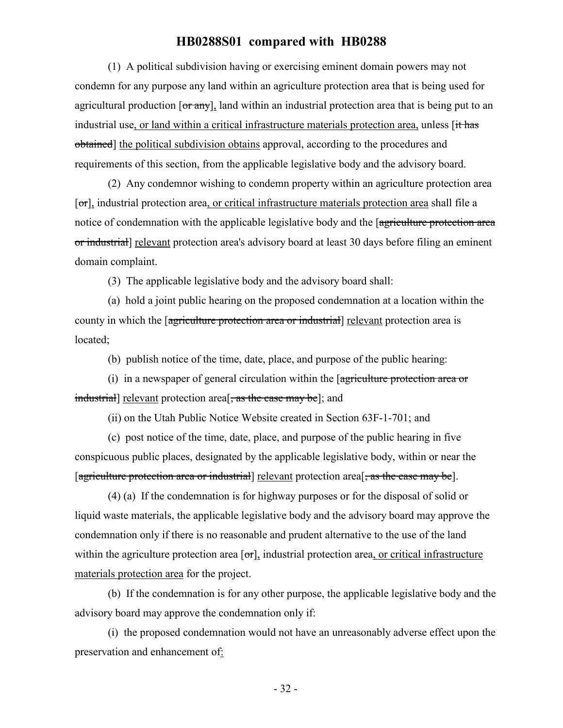(1) A political subdivision having or exercising eminent domain powers may not condemn for any purpose any land within an agriculture protection area that is being used for agricultural production [or any], land within an industrial protection area that is being put to an industrial use, or land within a critical infrastructure materials protection area, unless [it has obtained] the political subdivision obtains approval, according to the procedures and requirements of this section, from the applicable legislative body and the advisory board.

(2) Any condemnor wishing to condemn property within an agriculture protection area [or], industrial protection area, or critical infrastructure materials protection area shall file a notice of condemnation with the applicable legislative body and the [agriculture protection area or industrial] relevant protection area's advisory board at least 30 days before filing an eminent domain complaint.

(3) The applicable legislative body and the advisory board shall:

(a) hold a joint public hearing on the proposed condemnation at a location within the county in which the [agriculture protection area or industrial] relevant protection area is located;

(b) publish notice of the time, date, place, and purpose of the public hearing:

(i) in a newspaper of general circulation within the [agriculture protection area or industrial] relevant protection area<sup>[, as the case may be]</sup>; and

(ii) on the Utah Public Notice Website created in Section 63F-1-701; and

(c) post notice of the time, date, place, and purpose of the public hearing in five conspicuous public places, designated by the applicable legislative body, within or near the [agriculture protection area or industrial] relevant protection area<sup>[</sup>, as the case may be].

(4) (a) If the condemnation is for highway purposes or for the disposal of solid or liquid waste materials, the applicable legislative body and the advisory board may approve the condemnation only if there is no reasonable and prudent alternative to the use of the land within the agriculture protection area  $[\sigma_{\text{r}}]$ , industrial protection area, or critical infrastructure materials protection area for the project.

(b) If the condemnation is for any other purpose, the applicable legislative body and the advisory board may approve the condemnation only if:

(i) the proposed condemnation would not have an unreasonably adverse effect upon the preservation and enhancement of: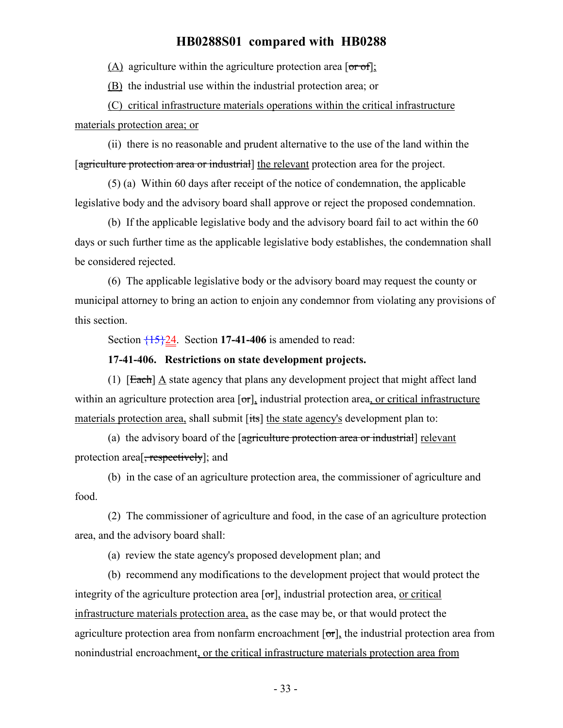(A) agriculture within the agriculture protection area  $\lceil \sigma r \sigma f \rceil$ ;

(B) the industrial use within the industrial protection area; or

(C) critical infrastructure materials operations within the critical infrastructure materials protection area; or

(ii) there is no reasonable and prudent alternative to the use of the land within the [agriculture protection area or industrial] the relevant protection area for the project.

(5) (a) Within 60 days after receipt of the notice of condemnation, the applicable legislative body and the advisory board shall approve or reject the proposed condemnation.

(b) If the applicable legislative body and the advisory board fail to act within the 60 days or such further time as the applicable legislative body establishes, the condemnation shall be considered rejected.

(6) The applicable legislative body or the advisory board may request the county or municipal attorney to bring an action to enjoin any condemnor from violating any provisions of this section.

Section  $\frac{15}{24}$ . Section 17-41-406 is amended to read:

#### **17-41-406. Restrictions on state development projects.**

(1) [Each] A state agency that plans any development project that might affect land within an agriculture protection area  $\sigma$ , industrial protection area, or critical infrastructure materials protection area, shall submit [its] the state agency's development plan to:

(a) the advisory board of the [agriculture protection area or industrial] relevant protection area<sup>[, respectively]</sup>; and

(b) in the case of an agriculture protection area, the commissioner of agriculture and food.

(2) The commissioner of agriculture and food, in the case of an agriculture protection area, and the advisory board shall:

(a) review the state agency's proposed development plan; and

(b) recommend any modifications to the development project that would protect the integrity of the agriculture protection area  $[\sigma_{\tau}]$ , industrial protection area, or critical infrastructure materials protection area, as the case may be, or that would protect the agriculture protection area from nonfarm encroachment  $[\sigma_{\tau}]$ , the industrial protection area from nonindustrial encroachment, or the critical infrastructure materials protection area from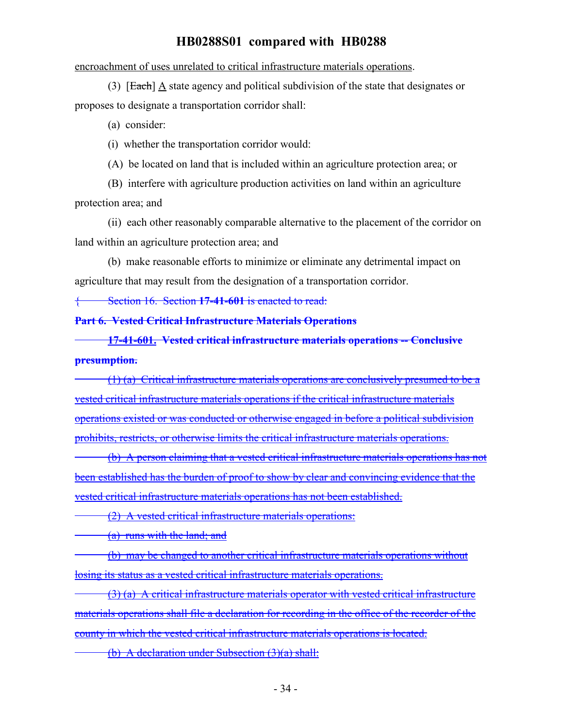encroachment of uses unrelated to critical infrastructure materials operations.

(3) [Each] A state agency and political subdivision of the state that designates or proposes to designate a transportation corridor shall:

(a) consider:

(i) whether the transportation corridor would:

(A) be located on land that is included within an agriculture protection area; or

(B) interfere with agriculture production activities on land within an agriculture protection area; and

(ii) each other reasonably comparable alternative to the placement of the corridor on land within an agriculture protection area; and

(b) make reasonable efforts to minimize or eliminate any detrimental impact on agriculture that may result from the designation of a transportation corridor.

{ Section 16. Section **17-41-601** is enacted to read:

**Part 6. Vested Critical Infrastructure Materials Operations**

**17-41-601. Vested critical infrastructure materials operations -- Conclusive presumption.**

(1) (a) Critical infrastructure materials operations are conclusively presumed to be a vested critical infrastructure materials operations if the critical infrastructure materials operations existed or was conducted or otherwise engaged in before a political subdivision prohibits, restricts, or otherwise limits the critical infrastructure materials operations.

(b) A person claiming that a vested critical infrastructure materials operations has not been established has the burden of proof to show by clear and convincing evidence that the vested critical infrastructure materials operations has not been established.

(2) A vested critical infrastructure materials operations:

(a) runs with the land; and

(b) may be changed to another critical infrastructure materials operations without losing its status as a vested critical infrastructure materials operations.

(3) (a) A critical infrastructure materials operator with vested critical infrastructure materials operations shall file a declaration for recording in the office of the recorder of the county in which the vested critical infrastructure materials operations is located.

(b) A declaration under Subsection (3)(a) shall: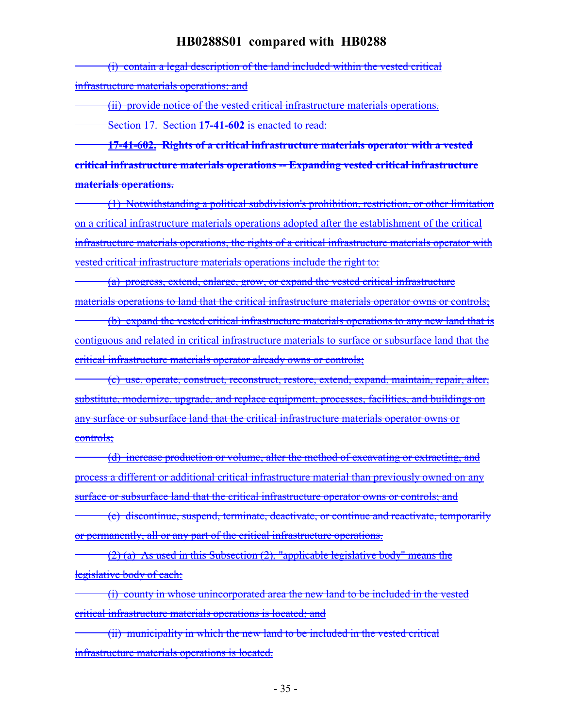(i) contain a legal description of the land included within the vested critical infrastructure materials operations; and

(ii) provide notice of the vested critical infrastructure materials operations.

Section 17. Section **17-41-602** is enacted to read:

**17-41-602. Rights of a critical infrastructure materials operator with a vested critical infrastructure materials operations -- Expanding vested critical infrastructure materials operations.**

(1) Notwithstanding a political subdivision's prohibition, restriction, or other limitation on a critical infrastructure materials operations adopted after the establishment of the critical infrastructure materials operations, the rights of a critical infrastructure materials operator with vested critical infrastructure materials operations include the right to:

(a) progress, extend, enlarge, grow, or expand the vested critical infrastructure materials operations to land that the critical infrastructure materials operator owns or controls;

(b) expand the vested critical infrastructure materials operations to any new land that is contiguous and related in critical infrastructure materials to surface or subsurface land that the critical infrastructure materials operator already owns or controls;

(c) use, operate, construct, reconstruct, restore, extend, expand, maintain, repair, alter, substitute, modernize, upgrade, and replace equipment, processes, facilities, and buildings on any surface or subsurface land that the critical infrastructure materials operator owns or controls;

(d) increase production or volume, alter the method of excavating or extracting, and process a different or additional critical infrastructure material than previously owned on any surface or subsurface land that the critical infrastructure operator owns or controls; and

(e) discontinue, suspend, terminate, deactivate, or continue and reactivate, temporarily or permanently, all or any part of the critical infrastructure operations.

 $(2)$  (a) As used in this Subsection (2), "applicable legislative body" means the legislative body of each:

(i) county in whose unincorporated area the new land to be included in the vested critical infrastructure materials operations is located; and

(ii) municipality in which the new land to be included in the vested critical infrastructure materials operations is located.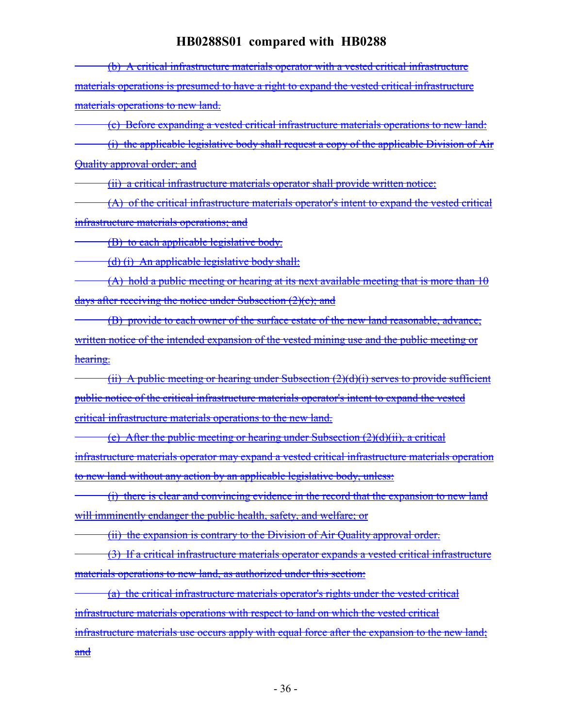(b) A critical infrastructure materials operator with a vested critical infrastructure materials operations is presumed to have a right to expand the vested critical infrastructure materials operations to new land.

(c) Before expanding a vested critical infrastructure materials operations to new land:

(i) the applicable legislative body shall request a copy of the applicable Division of Air Quality approval order; and

(ii) a critical infrastructure materials operator shall provide written notice:

(A) of the critical infrastructure materials operator's intent to expand the vested critical infrastructure materials operations; and

(B) to each applicable legislative body.

(d) (i) An applicable legislative body shall:

 $(A)$  hold a public meeting or hearing at its next available meeting that is more than 10 days after receiving the notice under Subsection (2)(c); and

(B) provide to each owner of the surface estate of the new land reasonable, advance, written notice of the intended expansion of the vested mining use and the public meeting or hearing.

(ii) A public meeting or hearing under Subsection  $(2)(d)(i)$  serves to provide sufficient public notice of the critical infrastructure materials operator's intent to expand the vested critical infrastructure materials operations to the new land.

(e) After the public meeting or hearing under Subsection  $(2)(d)(ii)$ , a critical infrastructure materials operator may expand a vested critical infrastructure materials operation to new land without any action by an applicable legislative body, unless:

(i) there is clear and convincing evidence in the record that the expansion to new land will imminently endanger the public health, safety, and welfare; or

(ii) the expansion is contrary to the Division of Air Quality approval order.

(3) If a critical infrastructure materials operator expands a vested critical infrastructure materials operations to new land, as authorized under this section:

(a) the critical infrastructure materials operator's rights under the vested critical infrastructure materials operations with respect to land on which the vested critical infrastructure materials use occurs apply with equal force after the expansion to the new land; and